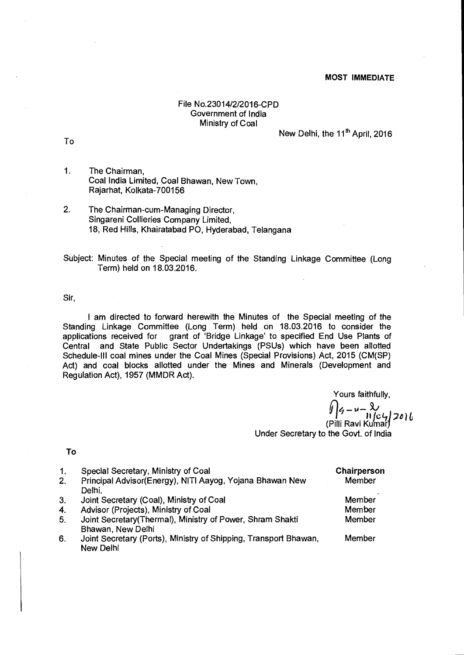## **MOST IMMEDIATE**

## File No.23014/2/2016-CPD Government of India Ministry of Coal

New Delhi, the 11<sup>th</sup> April, 2016

To

- 1. The Chairman, Coal India Limited, Coal Bhawan, New Town, Rajarhat, Kolkata-700156
- 2. The Chairman-cum-Managing Director, Singareni Collieries Company Limited, 18, Red Hills, Khairatabad PO, Hyderabad, Telangana

Subject: Minutes of the Special meeting of the Standing Linkage Committee (Long Term) held on 18.03.2016.

Sir,

I am directed to forward herewith the Minutes of the Special meeting of the Standing Linkage Committee (Long Term) held on 18.03.2016 to consider the applications received for grant of 'Bridge Linkage' to specified End Use Plants of Central and State Public Sector Undertakings (PSUs) which have been allotted Schedule-III coal mines under the Coal Mines (Special Provisions) Act, 2015 (CM(SP) Act) and coal blocks allotted under the Mines and Minerals (Development and Regulation Act), 1957 (MMDR Act).

> Yours faithfully, y | q – u – W)<br>(Pilli Ravi Kumar)

Under Secretary to the Govt. of India

**To** 

| 1.             | Special Secretary, Ministry of Coal                              | Chairperson |
|----------------|------------------------------------------------------------------|-------------|
| 2.             | Principal Advisor(Energy), NITI Aayog, Yojana Bhawan New         | Member      |
|                | Delhi.                                                           |             |
| 3 <sub>1</sub> | Joint Secretary (Coal), Ministry of Coal                         | Member      |
| 4.             | Advisor (Projects), Ministry of Coal                             | Member      |
| 5 <sub>1</sub> | Joint Secretary (Thermal), Ministry of Power, Shram Shakti       | Member      |
|                | Bhawan, New Delhi                                                |             |
| 6.             | Joint Secretary (Ports), Ministry of Shipping, Transport Bhawan, | Member      |
|                | New Delhi                                                        |             |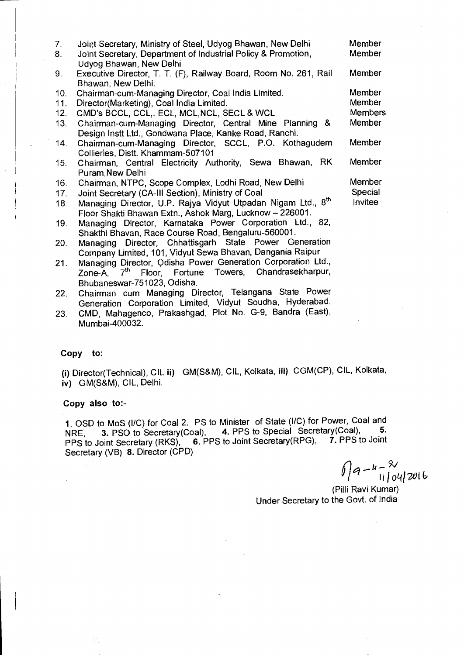| 7.  | Joint Secretary, Ministry of Steel, Udyog Bhawan, New Delhi              | Member         |
|-----|--------------------------------------------------------------------------|----------------|
| 8.  | Joint Secretary, Department of Industrial Policy & Promotion,            | <b>Member</b>  |
|     | Udyog Bhawan, New Delhi                                                  |                |
| 9.  | Executive Director, T. T. (F), Railway Board, Room No. 261, Rail         | Member         |
|     | Bhawan, New Delhi.                                                       |                |
| 10. | Chairman-cum-Managing Director, Coal India Limited.                      | Member         |
| 11. | Director(Marketing), Coal India Limited.                                 | Member         |
| 12. | CMD's BCCL, CCL, ECL, MCL, NCL, SECL & WCL                               | <b>Members</b> |
| 13. | Chairman-cum-Managing Director, Central Mine Planning &                  | Member         |
|     | Design Instt Ltd., Gondwana Place, Kanke Road, Ranchi.                   |                |
| 14. | Chairman-cum-Managing Director, SCCL, P.O. Kothagudem                    | Member         |
|     | Collieries, Distt. Khammam-507101                                        |                |
| 15. | Chairman, Central Electricity Authority, Sewa Bhawan, RK                 | Member         |
|     | Puram New Delhi                                                          |                |
| 16. | Chairman, NTPC, Scope Complex, Lodhi Road, New Delhi                     | Member         |
| 17. | Joint Secretary (CA-III Section), Ministry of Coal                       | Special        |
| 18. | Managing Director, U.P. Rajya Vidyut Utpadan Nigam Ltd., 8 <sup>th</sup> | <b>Invitee</b> |
|     | Floor Shakti Bhawan Extn., Ashok Marg, Lucknow - 226001.                 |                |
| 19. | Managing Director, Karnataka Power Corporation Ltd., 82,                 |                |
|     | Shakthi Bhavan, Race Course Road, Bengaluru-560001.                      |                |
|     |                                                                          |                |

- 20. Managing Director, Chhattisgarh State Power Generation Company Limited, 101, Vidyut Sewa Bhavan, Dangania Raipur
- 21. Managing Director, Odisha Power Generation Corporation Ltd., Zone-A, 7<sup>th</sup> Floor, Fortune Towers, Chandrasekharpur, Bhubaneswar-751023, Odisha.
- 22. Chairman cum Managing Director, Telangana State Power Generation Corporation Limited, Vidyut Soudha, Hyderabad.
- 23. CMD, Mahagenco, Prakashgad, Plot No. G-9, Bandra (East), Mumbai-400032.

## Copy **to:**

**(i)** Director(Technical), CIL **ii)** GM(S&M), CIL, Kolkata, **iii)** CGM(CP), CIL, Kolkata, **iv)** GM(S&M), CIL, Delhi.

## Copy also **to:-**

**1.** OSD to MoS (I/C) for Coal 2. PS to Minister of State (WC) for Power, Coal and NRE, 3. PSO to Secretary(Coal), 4. PPS to Special Secretary(Coal), **5.**  PPS to Joint Secretary (RKS), 6. PPS to Joint Secretary(RPG), **7.** PPS to Joint Secretary (VB) **8.** Director (CPD)

 $\int a - u - \frac{8}{\pi}$ *11 1014171)11* 

(Pilli Ravi Kumar) Under Secretary to the Govt. of India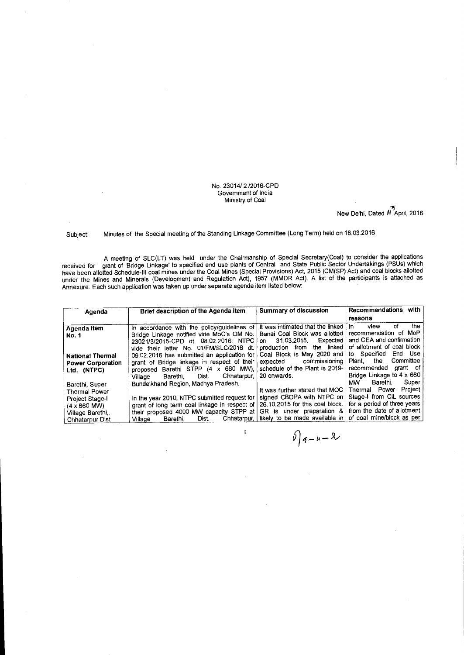No. 23014/ 2 /2016-CPD Government of India Ministry of Coal

New Delhi, Dated  $\overline{11}^{\overline{15}}$ April, 2016

Subject: Minutes of the Special meeting of the Standing Linkage Committee (Long Term) held on 18.03.2016

A meeting of SLC(LT) was held under the Chairmanship of Special Secretary(Coal) to consider the applications received for grant of 'Bridge Linkage' to specified end use plants of Central and State Public Sector Undertakings (PSUs) which have been allotted Schedule-III coal mines under the Coal Mines (Special Provisions) Act, 2015 (CM(SP) Act) and coal blocks allotted under the Mines and Minerals (Development and Regulation Act), 1957 (MMDR Act). A list of the participants is attached as Annexure. Each such application was taken up under separate agenda item listed below:

| Agenda                                                                                                                         | Brief description of the Agenda item                                                                                                                                                                                           | Summary of discussion                                                                                                                                         | Recommendations with                                                                                                                                                       |
|--------------------------------------------------------------------------------------------------------------------------------|--------------------------------------------------------------------------------------------------------------------------------------------------------------------------------------------------------------------------------|---------------------------------------------------------------------------------------------------------------------------------------------------------------|----------------------------------------------------------------------------------------------------------------------------------------------------------------------------|
|                                                                                                                                |                                                                                                                                                                                                                                |                                                                                                                                                               | reasons                                                                                                                                                                    |
| Agenda item<br><b>No. 1</b>                                                                                                    | In accordance with the policy/guidelines of<br>Bridge Linkage notified vide MoC's OM No.<br>23021/3/2015-CPD dt. 08.02.2016. NTPC<br>vide their letter No. 01/FM/SLC/2016 dt.                                                  | It was intimated that the linked<br>Banai Coal Block was allotted<br>31.03.2015.<br>Expected<br>on<br>the linked<br>from<br>production                        | the<br>оf<br>view<br>In.<br>recommendation of MoP<br>and CEA and confirmation<br>of allotment of coal block                                                                |
| <b>National Thermal</b><br><b>Power Corporation</b><br>Ltd. (NTPC)                                                             | 09.02.2016 has submitted an application for<br>grant of Bridge linkage in respect of their<br>proposed Barethi STPP (4 x 660 MW),<br>Chhatarpur,<br>Dist.<br>Barethi.<br>Village                                               | Coal Block is May 2020 and<br>commissioning<br>expected<br>schedule of the Plant is 2019-<br>20 onwards.                                                      | End Use<br>to Specified<br>Committee<br>the<br>Plant.<br>recommended grant of<br>Bridge Linkage to 4 x 660                                                                 |
| Barethi, Super<br><b>Thermal Power</b><br>Project Stage-I<br>$(4 \times 660$ MW)<br>Village Barethi.<br><b>Chhatarpur Dist</b> | Bundelkhand Region, Madhya Pradesh.<br>In the year 2010, NTPC submitted request for<br>grant of long term coal linkage in respect of<br>their proposed 4000 MW capacity STPP at<br>Chhatarpur,<br>Dist.<br>Barethi,<br>Village | It was further stated that MOC<br>signed CBDPA with NTPC on<br>26.10.2015 for this coal block.<br>GR is under preparation &<br>likely to be made available in | Super<br>Barethi.<br>MW.<br>Project<br>Thermal Power<br>Stage-I from CIL sources<br>for a period of three years<br>from the date of allotment<br>of coal mine/block as per |

 $\mathbf{l}$ 

 $0$   $9 - u - 8$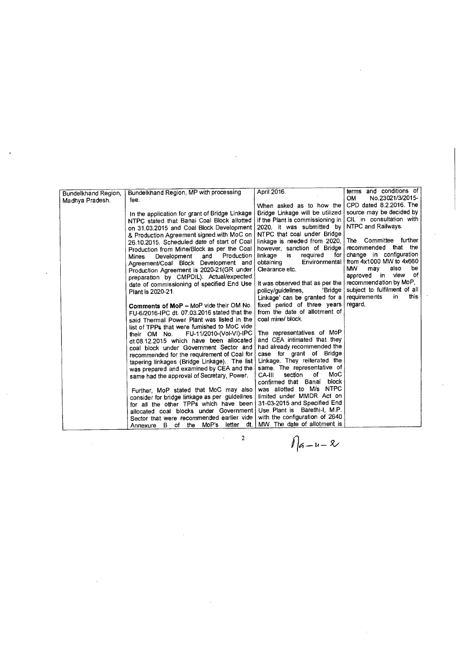|                     |                                                                                         |                                  | terms and conditions of      |
|---------------------|-----------------------------------------------------------------------------------------|----------------------------------|------------------------------|
| Bundelkhand Region, | Bundelkhand Region, MP with processing                                                  | April 2016.                      | No.23021/3/2015-<br>OM.      |
| Madhya Pradesh.     | fee.                                                                                    |                                  |                              |
|                     |                                                                                         | When asked as to how the         | CPD dated 8.2.2016. The      |
|                     | In the application for grant of Bridge Linkage                                          | Bridge Linkage will be utilized  | source may be decided by     |
|                     | NTPC stated that Banai Coal Block allotted                                              | if the Plant is commissioning in | CIL in consultation with     |
|                     | on 31.03.2015 and Coal Block Development                                                | 2020, it was submitted by        | NTPC and Railways.           |
|                     | & Production Agreement signed with MoC on                                               | NTPC that coal under Bridge      |                              |
|                     | 26.10.2015. Scheduled date of start of Coal                                             | linkage is needed from 2020,     | The Committee further        |
|                     | Production from Mine/Block as per the Coal                                              | however, sanction of Bridge      | recommended that the         |
|                     | Production  <br>Development and<br>Mines                                                | required<br>linkage<br>is<br>for | change in configuration      |
|                     | Agreement/Coal Block Development and                                                    | Environmental<br>obtaining       | from 4x1000 MW to 4x660      |
|                     | Production Agreement is 2020-21(GR under                                                | Clearance etc.                   | MW.<br>also<br>be<br>may     |
|                     | preparation by CMPDIL). Actual/expected                                                 |                                  | approved in view of          |
|                     | date of commissioning of specified End Use                                              | It was observed that as per the  | recommendation by MoP,       |
|                     | Plant is 2020-21.                                                                       | policy/guidelines,<br>'Bridge    | subject to fulfilment of all |
|                     |                                                                                         | Linkage' can be granted for a    | this.<br>requirements<br>in  |
|                     | Comments of MoP - MoP vide their OM No.                                                 | fixed period of three years      | regard.                      |
|                     | FU-6/2016-IPC dt. 07.03.2016 stated that the                                            | from the date of allotment of    |                              |
|                     | said Thermal Power Plant was listed in the                                              | coal mine/ block.                |                              |
|                     | list of TPPs that were fumished to MoC vide                                             |                                  |                              |
|                     | FU-11/2010-(Vol-VI)-IPC<br>their OM No.                                                 | The representatives of MoP       |                              |
|                     | dt.08.12.2015 which have been allocated                                                 | and CEA intimated that they      |                              |
|                     | coal block under Government Sector and                                                  | had already recommended the      |                              |
|                     | recommended for the requirement of Coal for                                             | case for grant of Bridge         |                              |
|                     | tapering linkages (Bridge Linkage). The list                                            | Linkage. They reiterated the     |                              |
|                     | was prepared and examined by CEA and the                                                | same. The representative of      |                              |
|                     | same had the approval of Secretary, Power.                                              | MoC<br>of<br>CA-III<br>section   |                              |
|                     |                                                                                         | confirmed that Banai block       |                              |
|                     |                                                                                         | was allotted to M/s NTPC         |                              |
|                     | Further, MoP stated that MoC may also                                                   | limited under MMDR Act on        |                              |
|                     | consider for bridge linkage as per guidelines<br>for all the other TPPs which have been | 31-03-2015 and Specified End     |                              |
|                     |                                                                                         | Use Plant is Barethi-I, M.P.     |                              |
|                     | allocated coal blocks under Government                                                  | with the configuration of 2640   |                              |
|                     | Sector that were recommended earlier vide                                               | MW. The date of allotment is     |                              |
|                     | Annexure B of the MoP's letter dt.                                                      |                                  |                              |
|                     | 2                                                                                       |                                  |                              |
|                     |                                                                                         | $1 _{6-u-2}$                     |                              |
|                     |                                                                                         |                                  |                              |

 $\overline{\mathcal{L}}$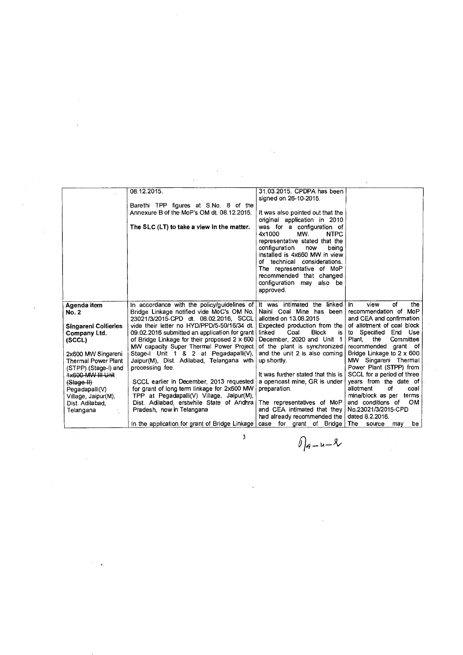|                             | 08.12.2015.                                                                | 31.03.2015. CPDPA has been            |                                  |
|-----------------------------|----------------------------------------------------------------------------|---------------------------------------|----------------------------------|
|                             |                                                                            | signed on 26-10-2015.                 |                                  |
|                             | Barethi TPP figures at S.No. 8 of the                                      |                                       |                                  |
|                             | Annexure B of the MoP's OM dt. 08.12.2015.                                 | It was also pointed out that the      |                                  |
|                             |                                                                            | original application in 2010          |                                  |
|                             | The SLC (LT) to take a view in the matter.                                 | was for a configuration of            |                                  |
|                             |                                                                            | 4x1000<br>MW.<br><b>NTPC</b>          |                                  |
|                             |                                                                            | representative stated that the        |                                  |
|                             |                                                                            | configuration<br>beina<br>now         |                                  |
|                             |                                                                            | installed is 4x660 MW in view         |                                  |
|                             |                                                                            | of technical considerations.          |                                  |
|                             |                                                                            | The representative of MoP             |                                  |
|                             |                                                                            | recommended that changed              |                                  |
|                             |                                                                            | configuration may also be             |                                  |
|                             |                                                                            | approved.                             |                                  |
|                             |                                                                            |                                       |                                  |
| Agenda item                 | In accordance with the policy/guidelines of It was intimated the linked in |                                       | αf<br>view<br>the                |
| <b>No. 2</b>                | Bridge Linkage notified vide MoC's OM No.                                  | Naini Coal Mine has been              | recommendation of MoP            |
|                             | 23021/3/2015-CPD dt. 08.02.2016, SCCL                                      | allotted on 13.08.2015                | and CEA and confirmation         |
| <b>Singareni Collieries</b> | vide their letter no HYD/PPD/5-50/16/34 dt.                                | Expected production from the          | of allotment of coal block       |
| Company Ltd.                | 09.02.2016 submitted an application for grant                              | linked<br>Coal<br><b>Block</b><br>is. | to Specified<br>End Use          |
| (SCCL)                      | of Bridge Linkage for their proposed 2 x 600                               | December, 2020 and Unit 1             | Plant,<br>the<br>Committee       |
|                             | MW capacity Super Thermal Power Project                                    | of the plant is synchronized          | recommended grant of             |
| 2x600 MW Singareni          | Stage-I Unit 1 & 2 at Pegadapalli(V),                                      | and the unit 2 is also coming         | Bridge Linkage to $2 \times 600$ |
| <b>Thermal Power Plant</b>  | Jaipur(M), Dist. Adilabad, Telangana with                                  | up shortly.                           | MW Singareni Thermal             |
| (STPP) (Stage-I) and        | processing fee.                                                            |                                       | Power Plant (STPP) from          |
| <b>1x600 MW III Unit</b>    |                                                                            | It was further stated that this is    | SCCL for a period of three       |
| (Stage II)                  | SCCL earlier in December, 2013 requested                                   | a opencast mine, GR is under          | years from the date of           |
| Pegadapalli(V)              | for grant of long term linkage for 2x600 MW                                | preparation.                          | allotment<br>οf<br>coal          |
| Village, Jaipur(M),         | TPP at Pegadapalli(V) Village, Jaipur(M),                                  |                                       | mine/block as per terms          |
| Dist. Adilabad,             | Dist. Adilabad, erstwhile State of Andhra                                  | The representatives of MoP            | and conditions of<br><b>OM</b>   |
| Telangana                   | Pradesh, now in Telangana                                                  | and CEA intimated that they           | No.23021/3/2015-CPD              |
|                             |                                                                            | had already recommended the           | dated 8.2.2016.                  |
|                             | In the application for grant of Bridge Linkage                             | case for grant of Bridge              | The<br>be<br>source<br>may       |
|                             |                                                                            |                                       |                                  |

 $\label{eq:2.1} \frac{1}{\sqrt{2}}\int_{\mathbb{R}^3}\frac{1}{\sqrt{2}}\left(\frac{1}{\sqrt{2}}\right)^2\frac{1}{\sqrt{2}}\left(\frac{1}{\sqrt{2}}\right)^2\frac{1}{\sqrt{2}}\left(\frac{1}{\sqrt{2}}\right)^2\frac{1}{\sqrt{2}}\left(\frac{1}{\sqrt{2}}\right)^2.$ 

 $\label{eq:2.1} \frac{1}{\sqrt{2\pi}}\int_{0}^{\infty}\frac{1}{\sqrt{2\pi}}\left(\frac{1}{\sqrt{2\pi}}\right)^{2\pi}d\mu\int_{0}^{\infty}\frac{1}{\sqrt{2\pi}}\int_{0}^{\infty}\frac{1}{\sqrt{2\pi}}\left(\frac{1}{\sqrt{2\pi}}\right)^{2\pi}\frac{1}{\sqrt{2\pi}}\int_{0}^{\infty}\frac{1}{\sqrt{2\pi}}\frac{1}{\sqrt{2\pi}}\frac{1}{\sqrt{2\pi}}\frac{1}{\sqrt{2\pi}}\frac{1}{\sqrt{2\pi}}\int_{0}^{\infty$ 

 $\int_{a-u}^{3}$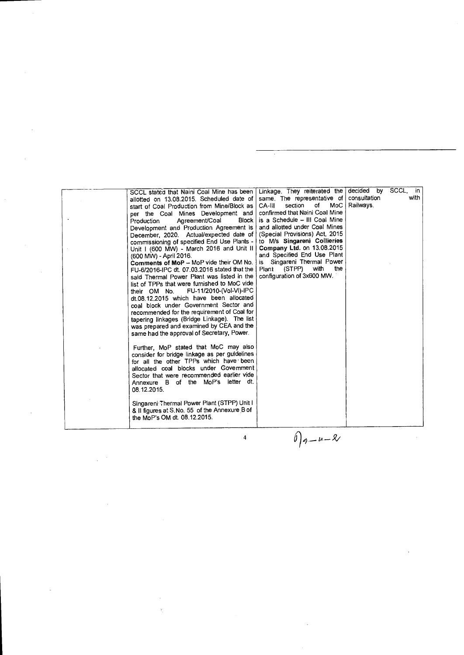| is a Schedule - III Coal Mine<br><b>Block</b><br>Agreement/Coal<br>Production<br>and allotted under Coal Mines<br>Development and Production Agreement is<br>(Special Provisions) Act, 2015<br>December, 2020. Actual/expected date of<br>to M/s Singareni Collieries<br>commissioning of specified End Use Plants -<br>Company Ltd. on 13.08.2015<br>Unit I (600 MW) - March 2016 and Unit II  <br>and Specified End Use Plant<br>(600 MW) - April 2016.<br>is Singareni Thermal Power<br>Comments of MoP - MoP vide their OM No.<br>with<br>(STPP)<br>the<br>Plant<br>FU-6/2016-IPC dt. 07.03.2016 stated that the<br>configuration of 3x600 MW.<br>said Thermal Power Plant was listed in the<br>list of TPPs that were furnished to MoC vide<br>FU-11/2010-(Vol-VI)-IPC<br>their OM No.<br>dt.08.12.2015 which have been allocated<br>coal block under Government Sector and<br>recommended for the requirement of Coal for<br>tapering linkages (Bridge Linkage). The list<br>was prepared and examined by CEA and the<br>same had the approval of Secretary, Power. |  |
|---------------------------------------------------------------------------------------------------------------------------------------------------------------------------------------------------------------------------------------------------------------------------------------------------------------------------------------------------------------------------------------------------------------------------------------------------------------------------------------------------------------------------------------------------------------------------------------------------------------------------------------------------------------------------------------------------------------------------------------------------------------------------------------------------------------------------------------------------------------------------------------------------------------------------------------------------------------------------------------------------------------------------------------------------------------------------|--|
| Further, MoP stated that MoC may also<br>consider for bridge linkage as per guidelines<br>for all the other TPPs which have been<br>allocated coal blocks under Govemment<br>Sector that were recommended earlier vide<br>Annexure B of the MoP's letter dt.<br>08.12.2015.                                                                                                                                                                                                                                                                                                                                                                                                                                                                                                                                                                                                                                                                                                                                                                                               |  |
| Singareni Thermal Power Plant (STPP) Unit I<br>& II figures at S.No. 55 of the Annexure B of<br>the MoP's OM dt. 08.12.2015.                                                                                                                                                                                                                                                                                                                                                                                                                                                                                                                                                                                                                                                                                                                                                                                                                                                                                                                                              |  |
| $0 q-u-2$<br>4                                                                                                                                                                                                                                                                                                                                                                                                                                                                                                                                                                                                                                                                                                                                                                                                                                                                                                                                                                                                                                                            |  |

 $\sim 10^{-10}$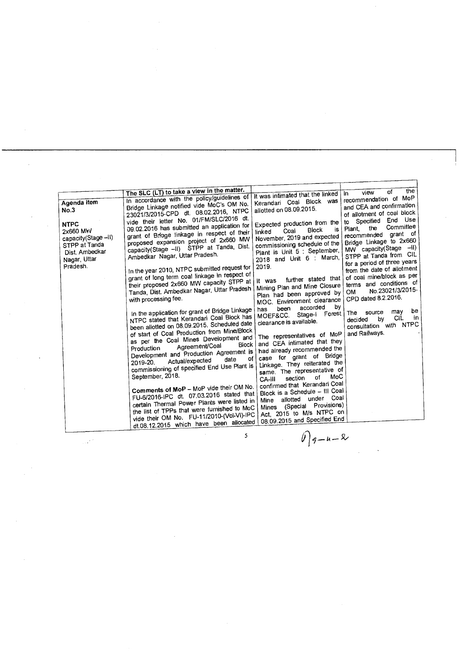| the<br>οf<br>view<br>It was intimated that the linked<br>In.<br>In accordance with the policy/guidelines of<br>recommendation of MoP<br>Kerandari Coal Block was<br>Bridge Linkage notified vide MoC's OM No.<br>and CEA and confirmation<br>allotted on 08.09.2015.<br><b>No.3</b><br>23021/3/2015-CPD dt. 08.02.2016, NTPC<br>of allotment of coal block<br>vide their letter No. 01/FM/SLC/2016 dt.<br>End Use<br>Specified<br>to<br>Expected production from the<br><b>NTPC</b><br>09.02.2016 has submitted an application for<br>Committee<br>the<br>Plant,<br>is<br><b>Block</b><br>2x660 MW<br>Coal<br>linked<br>grant of Briage linkage in respect of their<br>grant of<br>recommended<br>November, 2019 and expected<br>capacity(Stage -- II)<br>proposed expansion project of 2x660 MW<br>Bridge Linkage to 2x660<br>commissioning schedule of the<br>STPP at Tanda<br>capacity(Stage -II) STPP at Tanda, Dist.<br>MW capacity(Stage -II)<br>Plant is Unit 5 : September,<br>Dist. Ambedkar<br>Ambedkar Nagar, Uttar Pradesh.<br>STPP at Tanda from CIL<br>2018 and Unit 6 : March,<br>Nagar, Uttar<br>for a period of three years<br>Pradesh.<br>2019.<br>In the year 2010, NTPC submitted request for<br>from the date of allotment<br>grant of long term coal linkage in respect of<br>of coal mine/block as per<br>further stated that<br>It was<br>their proposed 2x660 MW capacity STPP at<br>terms and conditions of<br>Mining Plan and Mine Closure<br>Tanda, Dist. Ambedkar Nagar, Uttar Pradesh<br>No.23021/3/2015-<br>OM<br>Plan had been approved by<br>CPD dated 8.2.2016.<br>with processing fee.<br>MOC. Environment clearance<br>by<br>accorded<br>been<br>has<br>In the application for grant of Bridge Linkage<br>be<br>may<br>source<br><b>The</b><br>Stage-I Forest<br>MOEF&CC.<br>NTPC stated that Kerandari Coal Block has<br>in<br>CIL<br>b٧<br>decided<br>clearance is available.<br>been allotted on 08.09.2015. Scheduled date<br>with NTPC<br>consultation<br>of start of Coal Production from Mine/Block<br>and Railways.<br>The representatives of MoP<br>as per the Coal Mines Development and<br>and CEA intimated that they<br>Block<br>Agreement/Coal<br>Production<br>had already recommended the<br>Development and Production Agreement is<br>case for grant of Bridge<br>οf<br>date<br>Actual/expected<br>2019-20.<br>Linkage. They reiterated the<br>commissioning of specified End Use Plant is<br>same. The representative of<br>September, 2018.<br>MoC<br>of<br>section<br>CA-III<br>confirmed that Kerandari Coal<br>Comments of MoP - MoP vide their OM No.<br>Block is a Schedule - III Coal<br>FU-6/2016-IPC dt. 07.03.2016 stated that<br>under Coal<br>allotted<br>Mine<br>certain Thermal Power Plants were listed in<br>(Special Provisions)<br>Mines<br>the list of TPPs that were furnished to MoC<br>Act, 2015 to M/s NTPC on<br>vide their OM No. FU-11/2010-(Vol-VI)-IPC<br>08.09.2015 and Specified End |             |                                            |  |
|---------------------------------------------------------------------------------------------------------------------------------------------------------------------------------------------------------------------------------------------------------------------------------------------------------------------------------------------------------------------------------------------------------------------------------------------------------------------------------------------------------------------------------------------------------------------------------------------------------------------------------------------------------------------------------------------------------------------------------------------------------------------------------------------------------------------------------------------------------------------------------------------------------------------------------------------------------------------------------------------------------------------------------------------------------------------------------------------------------------------------------------------------------------------------------------------------------------------------------------------------------------------------------------------------------------------------------------------------------------------------------------------------------------------------------------------------------------------------------------------------------------------------------------------------------------------------------------------------------------------------------------------------------------------------------------------------------------------------------------------------------------------------------------------------------------------------------------------------------------------------------------------------------------------------------------------------------------------------------------------------------------------------------------------------------------------------------------------------------------------------------------------------------------------------------------------------------------------------------------------------------------------------------------------------------------------------------------------------------------------------------------------------------------------------------------------------------------------------------------------------------------------------------------------------------------------------------------------------------------------------------------------------------------------------------------------------------------------------------------------------------------------------------------------------------------------------------------------------------------------------------------------------------------------------------------------------------------------------|-------------|--------------------------------------------|--|
|                                                                                                                                                                                                                                                                                                                                                                                                                                                                                                                                                                                                                                                                                                                                                                                                                                                                                                                                                                                                                                                                                                                                                                                                                                                                                                                                                                                                                                                                                                                                                                                                                                                                                                                                                                                                                                                                                                                                                                                                                                                                                                                                                                                                                                                                                                                                                                                                                                                                                                                                                                                                                                                                                                                                                                                                                                                                                                                                                                           | Agenda item | The SLC (LT) to take a view in the matter. |  |
|                                                                                                                                                                                                                                                                                                                                                                                                                                                                                                                                                                                                                                                                                                                                                                                                                                                                                                                                                                                                                                                                                                                                                                                                                                                                                                                                                                                                                                                                                                                                                                                                                                                                                                                                                                                                                                                                                                                                                                                                                                                                                                                                                                                                                                                                                                                                                                                                                                                                                                                                                                                                                                                                                                                                                                                                                                                                                                                                                                           |             | dt.08.12.2015 which have been allocated    |  |

 $\mathcal{L}_{\mathcal{A}}$ 

 $\mathcal{L}^{\text{max}}_{\text{max}}$ 

 $\hat{\boldsymbol{\beta}}$ 

 $\langle \cdot \rangle$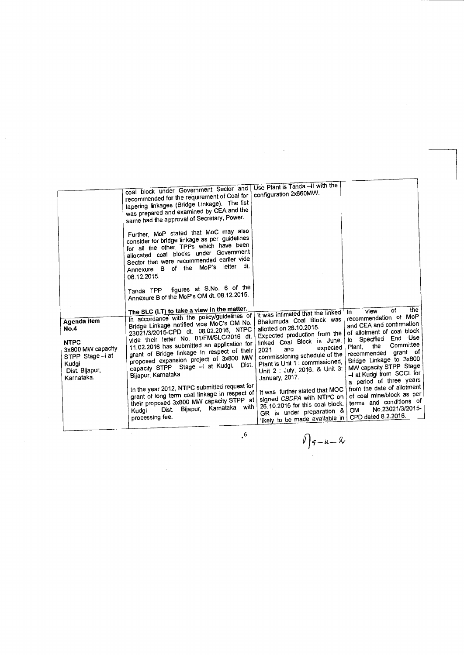$\hat{\boldsymbol{\beta}}$ 

 $\frac{1}{2}$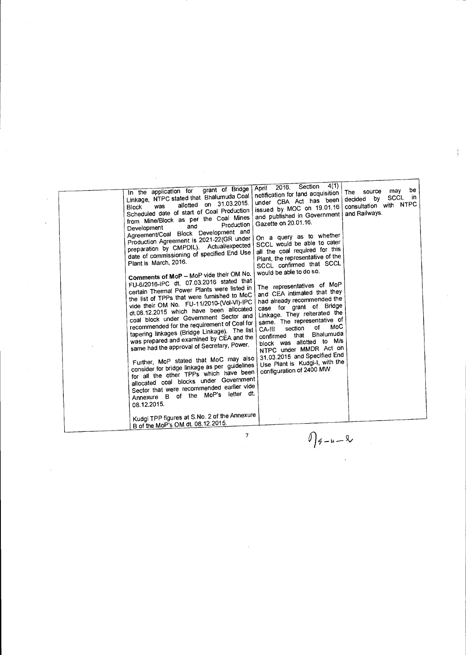$\frac{1}{2}$ 

7

 $\label{eq:2.1} \frac{1}{2} \sum_{i=1}^n \frac{1}{2} \sum_{j=1}^n \frac{1}{2} \sum_{j=1}^n \frac{1}{2} \sum_{j=1}^n \frac{1}{2} \sum_{j=1}^n \frac{1}{2} \sum_{j=1}^n \frac{1}{2} \sum_{j=1}^n \frac{1}{2} \sum_{j=1}^n \frac{1}{2} \sum_{j=1}^n \frac{1}{2} \sum_{j=1}^n \frac{1}{2} \sum_{j=1}^n \frac{1}{2} \sum_{j=1}^n \frac{1}{2} \sum_{j=1}^n \frac{$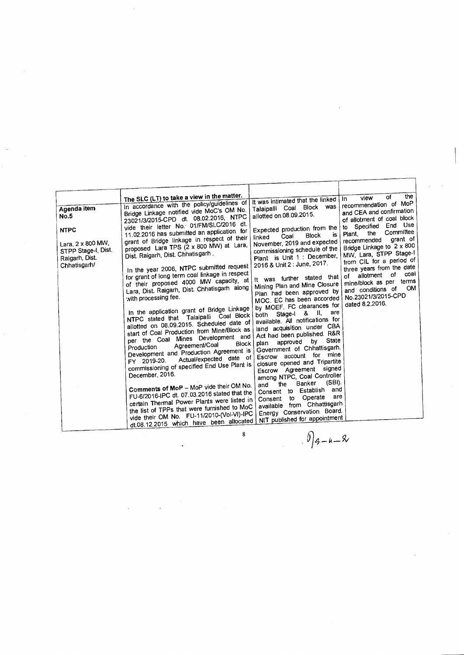| Agenda item<br><b>No.5</b><br><b>NTPC</b><br>Lara, 2 x 800 MW,<br>STPP Stage-I, Dist.<br>Raigarh, Dist.<br>Chhatisgarh/ | The SLC (LT) to take a view in the matter.<br>In accordance with the policy/guidelines of<br>Bridge Linkage notified vide MoC's OM No.<br>23021/3/2015-CPD dt. 08.02.2016, NTPC<br>vide their letter No. 01/FM/SLC/2016 dt.<br>11.02.2016 has submitted an application for<br>grant of Bridge linkage in respect of their<br>proposed Lara TPS (2 x 800 MW) at Lara,<br>Dist. Raigarh, Dist. Chhatisgarh.<br>In the year 2006, NTPC submitted request<br>for grant of long term coal linkage in respect<br>of their proposed 4000 MW capacity, at<br>Lara, Dist. Raigarh, Dist. Chhatisgarh along<br>with processing fee.<br>In the application grant of Bridge Linkage<br>NTPC stated that Talaipalli Coal Block<br>allotted on 08,09,2015. Scheduled date of<br>start of Coal Production from Mine/Block as<br>per the Coal Mines Development and<br>Block<br>Agreement/Coal<br>Production<br>Development and Production Agreement is<br>Actual/expected date of<br>FY 2019-20.<br>commissioning of specified End Use Plant is<br>December, 2016.<br>Comments of MoP - MoP vide their OM No.<br>FU-6/2016-IPC dt. 07.03.2016 stated that the<br>certain Thermal Power Plants were listed in<br>the list of TPPs that were furnished to MoC<br>vide their OM No. FU-11/2010-(Vol-VI)-IPC<br>dt.08.12.2015 which have been allocated | It was intimated that the linked<br>was<br>Talaipalli Coal Block<br>allotted on 08.09.2015.<br>Expected production from the<br>is<br>Block<br>Coal<br>linked<br>November, 2019 and expected<br>commissioning schedule of the<br>Plant is Unit 1 : December,<br>2016 & Unit 2 : June, 2017.<br>It was further stated that<br>Mining Plan and Mine Closure<br>Plan had been approved by<br>MOC. EC has been accorded<br>by MOEF. FC clearances for<br>are<br>Stage-I & II,<br>both<br>available. All notifications for<br>land acquisition under CBA<br>Act had been published. R&R<br>State<br>by<br>approved<br>plan<br>Government of Chhattisgarh.<br>mine<br>for<br>Escrow account<br>closure opened and Tripartite<br>signed<br>Escrow Agreement<br>among NTPC, Coal Controller<br>(SBI).<br>Banker<br>the<br>and<br>Establish and<br>Consent to<br>are<br>to Operate<br>Consent<br>available from Chhattisgarh<br>Energy Conservation Board.<br>NIT published for appointment | the<br>of<br>view<br>In<br>recommendation of MoP<br>and CEA and confirmation<br>of allotment of coal block<br>End Use<br>to Specified<br>Committee<br>the<br>Plant,<br>grant of<br>recommended<br>Bridge Linkage to 2 x 800<br>MW, Lara, STPP Stage-I<br>from CIL for a period of<br>three years from the date<br>coal<br>0f<br>allotment<br>оf<br>mine/block as per terms<br><b>OM</b><br>and conditions of<br>No.23021/3/2015-CPD<br>dated 8.2.2016. |
|-------------------------------------------------------------------------------------------------------------------------|--------------------------------------------------------------------------------------------------------------------------------------------------------------------------------------------------------------------------------------------------------------------------------------------------------------------------------------------------------------------------------------------------------------------------------------------------------------------------------------------------------------------------------------------------------------------------------------------------------------------------------------------------------------------------------------------------------------------------------------------------------------------------------------------------------------------------------------------------------------------------------------------------------------------------------------------------------------------------------------------------------------------------------------------------------------------------------------------------------------------------------------------------------------------------------------------------------------------------------------------------------------------------------------------------------------------------------------|-----------------------------------------------------------------------------------------------------------------------------------------------------------------------------------------------------------------------------------------------------------------------------------------------------------------------------------------------------------------------------------------------------------------------------------------------------------------------------------------------------------------------------------------------------------------------------------------------------------------------------------------------------------------------------------------------------------------------------------------------------------------------------------------------------------------------------------------------------------------------------------------------------------------------------------------------------------------------------------|--------------------------------------------------------------------------------------------------------------------------------------------------------------------------------------------------------------------------------------------------------------------------------------------------------------------------------------------------------------------------------------------------------------------------------------------------------|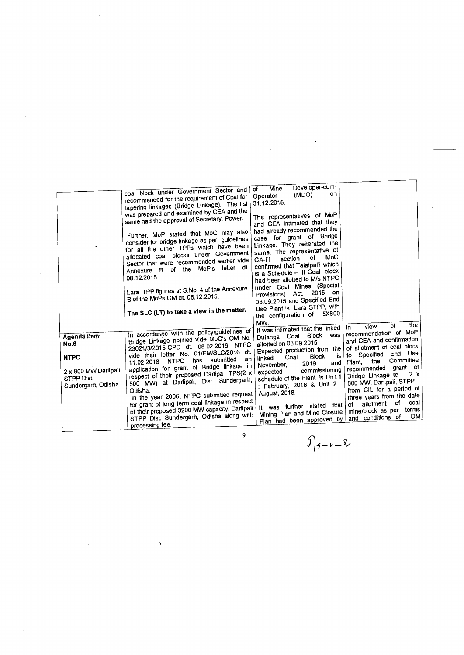|                                                                                                  | coal block under Government Sector and<br>recommended for the requirement of Coal for<br>tapering linkages (Bridge Linkage). The list<br>was prepared and examined by CEA and the<br>same had the approval of Secretary, Power.<br>Further, MoP stated that MoC may also<br>consider for bridge linkage as per guidelines<br>for all the other TPPs which have been<br>allocated coal blocks under Government<br>Sector that were recommended earlier vide<br>dt.<br>Annexure B of the MoP's letter<br>08.12.2015.<br>Lara TPP figures at S.No. 4 of the Annexure<br>B of the MoPs OM dt. 08.12.2015.<br>The SLC (LT) to take a view in the matter. | Developer-cum-<br>Mine<br>οf<br>on<br>(MDO)<br>Operator<br>31.12.2015.<br>The representatives of MoP<br>and CEA intimated that they<br>had already recommended the<br>case for grant of Bridge<br>Linkage. They reiterated the<br>same. The representative of<br>MoC<br>of<br>section<br>CA-III<br>confirmed that Talaipalli which<br>is a Schedule - III Coal block<br>had been allotted to M/s NTPC<br>under Coal Mines (Special<br>Provisions) Act, 2015 on<br>08.09.2015 and Specified End<br>Use Plant is Lara STPP, with<br>the configuration of 5X800<br>MW. |                                                                                                                                                                                                                                                                                                                                                                                                     |
|--------------------------------------------------------------------------------------------------|-----------------------------------------------------------------------------------------------------------------------------------------------------------------------------------------------------------------------------------------------------------------------------------------------------------------------------------------------------------------------------------------------------------------------------------------------------------------------------------------------------------------------------------------------------------------------------------------------------------------------------------------------------|---------------------------------------------------------------------------------------------------------------------------------------------------------------------------------------------------------------------------------------------------------------------------------------------------------------------------------------------------------------------------------------------------------------------------------------------------------------------------------------------------------------------------------------------------------------------|-----------------------------------------------------------------------------------------------------------------------------------------------------------------------------------------------------------------------------------------------------------------------------------------------------------------------------------------------------------------------------------------------------|
| Agenda item<br>No.6<br><b>NTPC</b><br>2 x 800 MW Darlipali,<br>STPP Dist.<br>Sundergarh, Odisha. | In accordance with the policy/guidelines of<br>Bridge Linkage notified vide MoC's OM No.<br>23021/3/2015-CPD dt. 08.02.2016, NTPC<br>vide their letter No. 01/FM/SLC/2016 dt.<br>an<br>submitted<br>has<br><b>NTPC</b><br>11.02.2016<br>application for grant of Bridge linkage in<br>respect of their proposed Darlipali TPS(2 x<br>800 MW) at Darlipali, Dist. Sundergarh,<br>Odisha.<br>In the year 2006, NTPC submitted request<br>for grant of long term coal linkage in respect<br>of their proposed 3200 MW capacity, Darlipali<br>STPP Dist. Sundergarh, Odisha along with<br>processing fee.<br>9                                          | It was intimated that the linked<br>Dulanga Coal Block was<br>allotted on 08.09.2015<br>Expected production from the<br>is<br><b>Block</b><br>Coal<br>linked<br>and<br>2019<br>November.<br>commissioning<br>expected<br>schedule of the Plant is Unit 1<br>: February, 2018 & Unit 2 :<br>August, 2018.<br>It was further stated that<br>Mining Plan and Mine Closure<br>Plan had been approved by<br>⌒                                                                                                                                                            | the<br>оf<br>view<br>In<br>recommendation of MoP<br>and CEA and confirmation<br>of allotment of coal block<br>to Specified End Use<br>Committee<br>the<br>Plant.<br>recommended grant of<br>2 x<br>Bridge Linkage to<br>800 MW, Darlipali, STPP<br>from CIL for a period of<br>three years from the date<br>coal<br>of<br>allotment<br>of<br>terms<br>mine/block as per<br>OM.<br>and conditions of |

 $\label{eq:2.1} \frac{d\mathbf{y}}{dt} = \frac{1}{2} \left( \frac{d\mathbf{y}}{dt} + \frac{d\mathbf{y}}{dt} \right) + \frac{d\mathbf{y}}{dt} = \frac{1}{2} \left( \frac{d\mathbf{y}}{dt} + \frac{d\mathbf{y}}{dt} \right) + \frac{d\mathbf{y}}{dt} = \frac{1}{2} \left( \frac{d\mathbf{y}}{dt} + \frac{d\mathbf{y}}{dt} \right) + \frac{d\mathbf{y}}{dt} = \frac{1}{2} \left( \frac{d\mathbf{y}}{dt} + \frac{d\mathbf{$ 

$$
\bigcap_{\mathbf{G}-\mathbf{u}=\mathbf{X}}
$$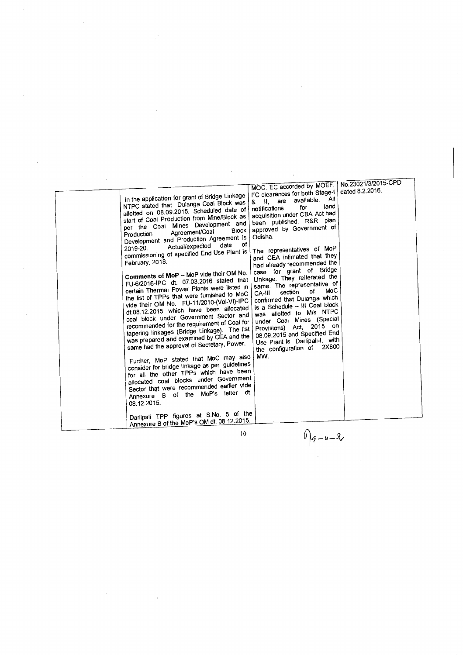| In the application for grant of Bridge Linkage<br>NTPC stated that Dulanga Coal Block was<br>allotted on 08.09.2015. Scheduled date of<br>start of Coal Production from Mine/Block as<br>per the Coal Mines Development and<br>Block<br>Agreement/Coal<br>Production<br>Development and Production Agreement is<br>of<br>date<br>Actual/expected<br>2019-20.<br>commissioning of specified End Use Plant is<br>February, 2018.<br>Comments of MoP - MoP vide their OM No.<br>FU-6/2016-IPC dt. 07.03.2016 stated that<br>certain Thermal Power Plants were listed in<br>the list of TPPs that were furnished to MoC<br>vide their OM No. FU-11/2010-(Vol-VI)-IPC<br>dt.08.12.2015 which have been allocated<br>coal block under Government Sector and<br>recommended for the requirement of Coal for<br>tapering linkages (Bridge Linkage). The list<br>was prepared and examined by CEA and the<br>same had the approval of Secretary, Power.<br>Further, MoP stated that MoC may also<br>consider for bridge linkage as per guidelines<br>for all the other TPPs which have been<br>allocated coal blocks under Government<br>Sector that were recommended earlier vide<br>Annexure B of the MoP's letter dt.<br>08.12.2015.<br>Darlipali TPP figures at S.No. 5 of the<br>Annexure B of the MoP's OM dt. 08.12.2015. | MOC. EC accorded by MOEF.<br>FC clearances for both Stage-I<br>All<br>available.<br>& II, are<br>land<br>for<br>notifications<br>acquisition under CBA Act had<br>been published. R&R plan<br>approved by Government of<br>Odisha.<br>The representatives of MoP<br>and CEA intimated that they<br>had already recommended the<br>case for grant of Bridge<br>Linkage. They reiterated the<br>same. The representative of<br>MoC<br>of<br>section<br>CA-III<br>confirmed that Dulanga which<br>is a Schedule -- III Coal block<br>was allotted to M/s NTPC<br>under Coal Mines (Special<br>Provisions) Act, 2015 on<br>08.09.2015 and Specified End<br>Use Plant is Darlipali-I, with<br>2X800<br>the configuration of<br>MW. | No.23021/3/2015-CPD<br>dated 8.2.2016. |
|-------------------------------------------------------------------------------------------------------------------------------------------------------------------------------------------------------------------------------------------------------------------------------------------------------------------------------------------------------------------------------------------------------------------------------------------------------------------------------------------------------------------------------------------------------------------------------------------------------------------------------------------------------------------------------------------------------------------------------------------------------------------------------------------------------------------------------------------------------------------------------------------------------------------------------------------------------------------------------------------------------------------------------------------------------------------------------------------------------------------------------------------------------------------------------------------------------------------------------------------------------------------------------------------------------------------------|-------------------------------------------------------------------------------------------------------------------------------------------------------------------------------------------------------------------------------------------------------------------------------------------------------------------------------------------------------------------------------------------------------------------------------------------------------------------------------------------------------------------------------------------------------------------------------------------------------------------------------------------------------------------------------------------------------------------------------|----------------------------------------|
| 10                                                                                                                                                                                                                                                                                                                                                                                                                                                                                                                                                                                                                                                                                                                                                                                                                                                                                                                                                                                                                                                                                                                                                                                                                                                                                                                      | $0 4-u-2$                                                                                                                                                                                                                                                                                                                                                                                                                                                                                                                                                                                                                                                                                                                     |                                        |

 $\Delta \phi$ 

 $\frac{1}{2}$ 

 $\hat{\mathcal{A}}$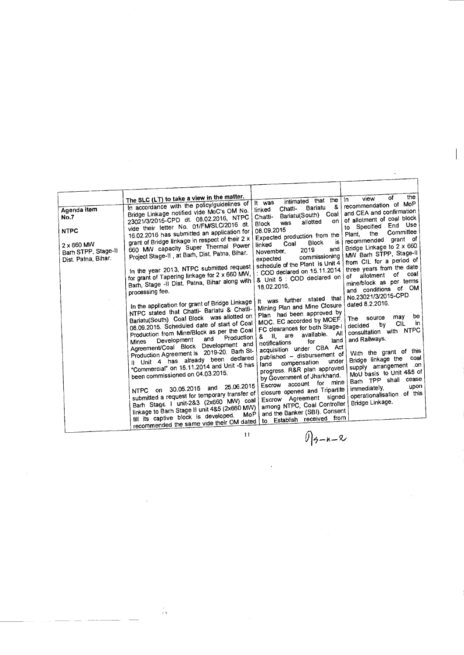| Agenda item<br>No.7<br><b>NTPC</b><br>2 x 660 MW<br>Barh STPP, Stage-II<br>Dist. Patna, Bihar. | The SLC (LT) to take a view in the matter.<br>In accordance with the policy/guidelines of<br>Bridge Linkage notified vide MoC's OM No.<br>23021/3/2015-CPD dt. 08.02.2016, NTPC<br>vide their letter No. 01/FM/SLC/2016 dt.<br>16.02.2016 has submitted an application for<br>grant of Bridge linkage in respect of their 2 x<br>660 MW capacity Super Thermal Power<br>Project Stage-II, at Barh, Dist. Patna, Bihar.<br>In the year 2013, NTPC submitted request<br>for grant of Tapering linkage for 2 x 660 MW,<br>Barh, Stage -II Dist. Patna, Bihar along with<br>processing fee.<br>In the application for grant of Bridge Linkage<br>NTPC stated that Chatti- Bariatu & Chatti-<br>Bariatu(South) Coal Block was allotted on<br>08.09.2015. Scheduled date of start of Coal<br>Production from Mine/Block as per the Coal<br>Production<br>and<br>Development<br>Mines<br>Agreement/Coal Block Development and<br>Production Agreement is 2019-20. Barh St-<br>Il Unit 4 has already been declared<br>"Commercial" on 15.11.2014 and Unit -5 has<br>been commissioned on 04.03.2015.<br>and 25.06.2015<br>NTPC on 30.05.2015<br>submitted a request for temporary transfer of<br>Barh Stage 1 unit-2&3 (2x660 MW) coal<br>linkage to Barh Stage II unit 4&5 (2x660 MW)<br>MoP  <br>till its captive block is developed.<br>recommended the same vide their OM dated | intimated that the<br>It was<br>&<br>Bariatu<br>Chatti-<br>linked<br>Bariatu(South) Coal<br>Chatti-<br>on<br>allotted<br>was<br><b>Block</b><br>08.09.2015<br>Expected production from the<br>is<br><b>Block</b><br>Coal<br>linked<br>and<br>2019<br>November,<br>commissioning<br>expected<br>schedule of the Plant is Unit 4<br>: COD declared on 15.11.2014.<br>& Unit 5 : COD declared on<br>18.02.2016.<br>It was further stated that<br>Mining Plan and Mine Closure<br>Plan had been approved by<br>MOC. EC accorded by MOEF.<br>FC clearances for both Stage-I<br>available. All<br>& II, are<br>land<br>for<br>notifications<br>acquisition under CBA Act<br>published - disbursement of<br>under<br>compensation<br>land<br>progress. R&R plan approved<br>by Government of Jharkhand.<br>Escrow account for mine<br>closure opened and Tripartite<br>Escrow Agreement signed<br>among NTPC, Coal Controller<br>and the Banker (SBI). Consent<br>to Establish received from | the<br>٥f<br>view<br>In.<br>recommendation of MoP<br>and CEA and confirmation<br>of allotment of coal block<br>to Specified End Use<br>Committee<br>the<br>Plant.<br>recommended grant of<br>Bridge Linkage to 2 x 660<br>MW Barh STPP, Stage-II<br>from CIL for a period of<br>three years from the date<br>coal<br>of<br>allotment<br>of<br>mine/block as per tems<br>and conditions of OM<br>No.23021/3/2015-CPD<br>dated 8.2.2016.<br>be<br>may<br>source<br>The<br>CIL<br>in.<br>bγ<br>decided<br>consultation with NTPC<br>and Railways.<br>With the grant of this<br>coal<br>Bridge linkage the<br>supply arrangement .on<br>MoU basis to Unit 4&5 of<br>Barh TPP shall cease<br>upon<br>immediately,<br>operationalisation of this<br>Bridge Linkage. |
|------------------------------------------------------------------------------------------------|-----------------------------------------------------------------------------------------------------------------------------------------------------------------------------------------------------------------------------------------------------------------------------------------------------------------------------------------------------------------------------------------------------------------------------------------------------------------------------------------------------------------------------------------------------------------------------------------------------------------------------------------------------------------------------------------------------------------------------------------------------------------------------------------------------------------------------------------------------------------------------------------------------------------------------------------------------------------------------------------------------------------------------------------------------------------------------------------------------------------------------------------------------------------------------------------------------------------------------------------------------------------------------------------------------------------------------------------------------------------------------|---------------------------------------------------------------------------------------------------------------------------------------------------------------------------------------------------------------------------------------------------------------------------------------------------------------------------------------------------------------------------------------------------------------------------------------------------------------------------------------------------------------------------------------------------------------------------------------------------------------------------------------------------------------------------------------------------------------------------------------------------------------------------------------------------------------------------------------------------------------------------------------------------------------------------------------------------------------------------------------|---------------------------------------------------------------------------------------------------------------------------------------------------------------------------------------------------------------------------------------------------------------------------------------------------------------------------------------------------------------------------------------------------------------------------------------------------------------------------------------------------------------------------------------------------------------------------------------------------------------------------------------------------------------------------------------------------------------------------------------------------------------|
|                                                                                                | $\overline{11}$                                                                                                                                                                                                                                                                                                                                                                                                                                                                                                                                                                                                                                                                                                                                                                                                                                                                                                                                                                                                                                                                                                                                                                                                                                                                                                                                                             | () 4-n-2                                                                                                                                                                                                                                                                                                                                                                                                                                                                                                                                                                                                                                                                                                                                                                                                                                                                                                                                                                              |                                                                                                                                                                                                                                                                                                                                                                                                                                                                                                                                                                                                                                                                                                                                                               |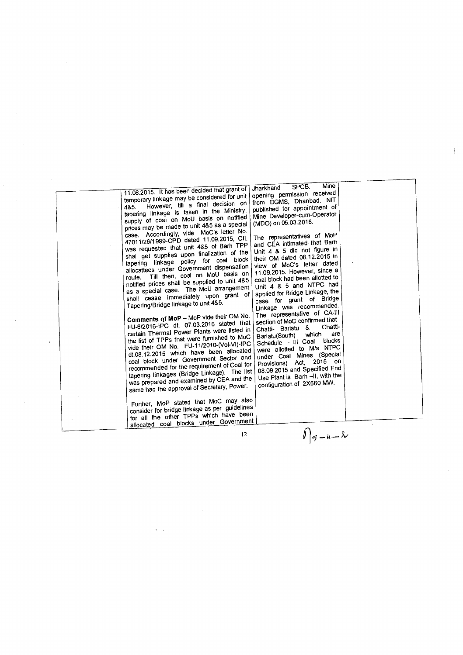| Mine<br>SPCB.<br>Jharkhand                                                                                                                                                                                                                                                                                                                                                                                                                                                                                                                                                                                                                                                                                                                                                                                                                                                                                                                                                                                                                                                                                                                                                                                                                                                                                                                                                                                                                                                                                                                                                                                                                                                                                                                                                                                                                                                                                                                                                                                                                                                                                                                                                                                                                                                                                                                        |  |
|---------------------------------------------------------------------------------------------------------------------------------------------------------------------------------------------------------------------------------------------------------------------------------------------------------------------------------------------------------------------------------------------------------------------------------------------------------------------------------------------------------------------------------------------------------------------------------------------------------------------------------------------------------------------------------------------------------------------------------------------------------------------------------------------------------------------------------------------------------------------------------------------------------------------------------------------------------------------------------------------------------------------------------------------------------------------------------------------------------------------------------------------------------------------------------------------------------------------------------------------------------------------------------------------------------------------------------------------------------------------------------------------------------------------------------------------------------------------------------------------------------------------------------------------------------------------------------------------------------------------------------------------------------------------------------------------------------------------------------------------------------------------------------------------------------------------------------------------------------------------------------------------------------------------------------------------------------------------------------------------------------------------------------------------------------------------------------------------------------------------------------------------------------------------------------------------------------------------------------------------------------------------------------------------------------------------------------------------------|--|
| 11.08.2015. It has been decided that grant of<br>opening permission received<br>temporary linkage may be considered for unit<br>from DGMS, Dhanbad. NIT<br>However, till a final decision on<br>4&5.<br>published for appointment of<br>tapering linkage is taken in the Ministry,<br>Mine Developer-cum-Operator<br>supply of coal on MoU basis on notified<br>(MDO) on 05.03.2016.<br>prices may be made to unit 4&5 as a special<br>case. Accordingly, vide MoC's letter No.<br>The representatives of MoP<br>47011/26/1999-CPD dated 11.09.2015, CIL<br>and CEA intimated that Barh<br>was requested that unit 4&5 of Barh TPP<br>Unit 4 & 5 did not figure in<br>shall get supplies upon finalization of the<br>their OM dated 08.12.2015 in<br>tapering linkage policy for coal block<br>view of MoC's letter dated<br>allocattees under Government dispensation<br>11.09.2015. However, since a<br>Till then, coal on MoU basis on<br>route.<br>coal block had been allotted to<br>notified prices shall be supplied to unit 4&5<br>Unit 4 & 5 and NTPC had<br>as a special case. The MoU arrangement<br>applied for Bridge Linkage, the<br>shall cease immediately upon grant of<br>case for grant of Bridge<br>Tapering/Bridge linkage to unit 4&5.<br>Linkage was recommended.<br>The representative of CA-III<br>Comments of MoP - MoP vide their OM No.<br>section of MoC confirmed that<br>FU-6/2016-iPC dt. 07.03.2016 stated that<br>Chatti-<br>Chatti- Bariatu &<br>certain Thermal Power Plants were listed in<br>are<br>which<br>Bariatu(South)<br>the list of TPPs that were furnished to MoC<br>blocks<br>Schedule - III Coal<br>vide their OM No. FU-11/2010-(Vol-VI)-IPC<br>were allotted to M/s NTPC<br>dt.08.12.2015 which have been allocated<br>under Coal Mines (Special<br>coal block under Government Sector and<br>Provisions) Act, 2015 on<br>recommended for the requirement of Coal for<br>08.09.2015 and Specified End<br>tapering linkages (Bridge Linkage). The list<br>Use Plant is Barh -II, with the<br>was prepared and examined by CEA and the<br>configuration of 2X660 MW.<br>same had the approval of Secretary, Power.<br>Further, MoP stated that MoC may also<br>consider for bridge linkage as per guidelines<br>for all the other TPPs which have been<br>allocated coal blocks under Government |  |
| $\bigcap_{n=1}^{\infty}$<br>12                                                                                                                                                                                                                                                                                                                                                                                                                                                                                                                                                                                                                                                                                                                                                                                                                                                                                                                                                                                                                                                                                                                                                                                                                                                                                                                                                                                                                                                                                                                                                                                                                                                                                                                                                                                                                                                                                                                                                                                                                                                                                                                                                                                                                                                                                                                    |  |

 $\overline{1}$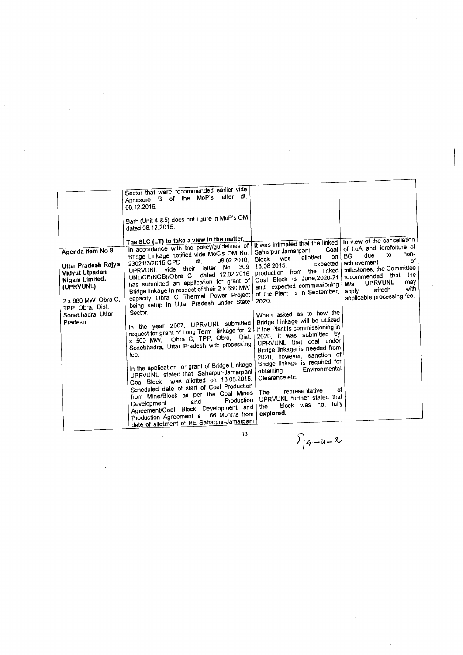| letter dt.<br>Annexure B of the MoP's<br>08.12.2015.<br>Barh (Unit 4 &5) does not figure in MoP's OM<br>dated 08.12.2015.<br>The SLC (LT) to take a view in the matter.<br>In view of the cancellation<br>It was intimated that the linked<br>In accordance with the policy/guidelines of<br>of LoA and forefeiture of<br>Coal<br>Agenda item No.8<br>Saharpur-Jamarpani<br>Bridge Linkage notified vide MoC's OM No.<br>non-<br>to<br>due<br>BG<br>on l<br>allotted<br>was<br><b>Block</b><br>08.02.2016.<br>of<br>dt.<br>23021/3/2015-CPD<br>achievement<br>Expected<br>Uttar Pradesh Rajya<br>13.08.2015.<br>309<br>No.<br>milestones, the Committee<br>letter<br>UPRVUNL vide their<br>linked<br>production from the<br>Vidyut Utpadan<br>dated 12.02.2016<br>the<br>recommended that<br>UNL/CE(NCB)/Obra C<br>Coal Block is June, 2020-21<br>Nigam Limited.<br>has submitted an application for grant of<br>may<br><b>UPRVUNL</b><br>M/s<br>and expected commissioning<br>(UPRVUNL)<br>Bridge linkage in respect of their 2 x 660 MW<br>with<br>afresh<br>apply<br>of the Plant is in September,<br>capacity Obra C Thermal Power Project<br>applicable processing fee.<br>$2 \times 660$ MW Obra C,<br>2020.<br>being setup in Uttar Pradesh under State<br>TPP, Obra, Dist.<br>Sector.<br>When asked as to how the<br>Sonebhadra, Uttar<br>Bridge Linkage will be utilized<br>Pradesh<br>In the year 2007, UPRVUNL submitted<br>if the Plant is commissioning in<br>request for grant of Long Term linkage for 2<br>2020, it was submitted by<br>x 500 MW, Obra C, TPP, Obra, Dist.<br>UPRVUNL that coal under<br>Sonebhadra, Uttar Pradesh with processing<br>Bridge linkage is needed from<br>fee.<br>2020, however, sanction of<br>Bridge linkage is required for<br>In the application for grant of Bridge Linkage<br>Environmental<br>obtaining<br>UPRVUNL stated that Saharpur-Jamarpani<br>Clearance etc.<br>Coal Block was allotted on 13.08.2015.<br>Scheduled date of start of Coal Production<br>of<br>representative<br>The<br>from Mine/Block as per the Coal Mines<br>UPRVUNL further stated that<br>Production  <br>and<br>Development<br>block was not fully<br>the<br>Agreement/Coal Block Development and<br>explored.<br>66 Months from<br>Production Agreement is |                                                                                         |  |
|----------------------------------------------------------------------------------------------------------------------------------------------------------------------------------------------------------------------------------------------------------------------------------------------------------------------------------------------------------------------------------------------------------------------------------------------------------------------------------------------------------------------------------------------------------------------------------------------------------------------------------------------------------------------------------------------------------------------------------------------------------------------------------------------------------------------------------------------------------------------------------------------------------------------------------------------------------------------------------------------------------------------------------------------------------------------------------------------------------------------------------------------------------------------------------------------------------------------------------------------------------------------------------------------------------------------------------------------------------------------------------------------------------------------------------------------------------------------------------------------------------------------------------------------------------------------------------------------------------------------------------------------------------------------------------------------------------------------------------------------------------------------------------------------------------------------------------------------------------------------------------------------------------------------------------------------------------------------------------------------------------------------------------------------------------------------------------------------------------------------------------------------------------------------------------------------------------------------------------------------------------------------------------------------|-----------------------------------------------------------------------------------------|--|
|                                                                                                                                                                                                                                                                                                                                                                                                                                                                                                                                                                                                                                                                                                                                                                                                                                                                                                                                                                                                                                                                                                                                                                                                                                                                                                                                                                                                                                                                                                                                                                                                                                                                                                                                                                                                                                                                                                                                                                                                                                                                                                                                                                                                                                                                                              | Sector that were recommended earlier vide<br>date of allotment of RE Saharpur-Jamarpani |  |

 $0)$   $9 - u - 8$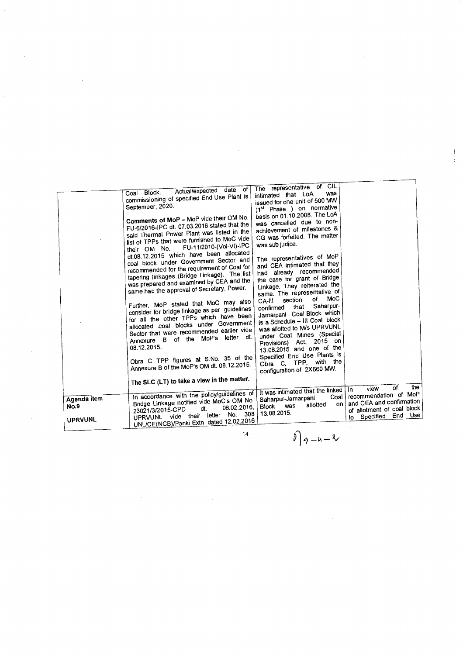|                                       | Actual/expected date of<br>Coal Block.<br>commissioning of specified End Use Plant is<br>September, 2020.<br>Comments of MoP - MoP vide their OM No.<br>FU-6/2016-IPC dt. 07.03.2016 stated that the<br>said Thermal Power Plant was listed in the<br>list of TPPs that were furnished to MoC vide<br>FU-11/2010-(Vol-VI)-IPC<br>their OM No.<br>dt.08.12.2015 which have been allocated<br>coal block under Government Sector and<br>recommended for the requirement of Coal for<br>tapering linkages (Bridge Linkage). The list<br>was prepared and examined by CEA and the<br>same had the approval of Secretary, Power.<br>Further, MoP stated that MoC may also<br>consider for bridge linkage as per guidelines<br>for all the other TPPs which have been<br>allocated coal blocks under Government<br>Sector that were recommended earlier vide<br>Annexure B of the MoP's letter dt.<br>08.12.2015.<br>Obra C TPP figures at S.No. 35 of the<br>Annexure B of the MoP's OM dt. 08.12.2015. | The representative of CIL<br>was<br>intimated that LoA<br>issued for one unit of 500 MW<br>(1st Phase ) on normative<br>basis on 01.10.2008. The LoA<br>was cancelled due to non-<br>achievement of milestones &<br>CG was forfeited. The matter<br>was sub judice.<br>The representatives of MoP<br>and CEA intimated that they<br>had already recommended<br>the case for grant of Bridge<br>Linkage. They reiterated the<br>same. The representative of<br>MoC<br>of<br>section<br>CA-III<br>Saharpur-<br>that<br>confirmed<br>Jamarpani Coal Block which<br>is a Schedule - III Coal block<br>was allotted to M/s UPRVUNL<br>under Coal Mines (Special<br>2015 on<br>Act.<br>Provisions)<br>13.08.2015 and one of the<br>Specified End Use Plants is<br>Obra C, TPP, with the<br>configuration of 2X660 MW. |                                                                                                               |
|---------------------------------------|----------------------------------------------------------------------------------------------------------------------------------------------------------------------------------------------------------------------------------------------------------------------------------------------------------------------------------------------------------------------------------------------------------------------------------------------------------------------------------------------------------------------------------------------------------------------------------------------------------------------------------------------------------------------------------------------------------------------------------------------------------------------------------------------------------------------------------------------------------------------------------------------------------------------------------------------------------------------------------------------------|-----------------------------------------------------------------------------------------------------------------------------------------------------------------------------------------------------------------------------------------------------------------------------------------------------------------------------------------------------------------------------------------------------------------------------------------------------------------------------------------------------------------------------------------------------------------------------------------------------------------------------------------------------------------------------------------------------------------------------------------------------------------------------------------------------------------|---------------------------------------------------------------------------------------------------------------|
|                                       | The SLC (LT) to take a view in the matter.                                                                                                                                                                                                                                                                                                                                                                                                                                                                                                                                                                                                                                                                                                                                                                                                                                                                                                                                                         |                                                                                                                                                                                                                                                                                                                                                                                                                                                                                                                                                                                                                                                                                                                                                                                                                 | the<br>of<br>view                                                                                             |
| Agenda item<br>No.9<br><b>UPRVUNL</b> | In accordance with the policy/guidelines of<br>Bridge Linkage notified vide MoC's OM No.<br>08.02.2016,<br>dt.<br>23021/3/2015-CPD<br>letter No. 308<br>UPRVUNL vide their<br>UNL/CE(NCB)/Panki Extn_dated 12.02.2016                                                                                                                                                                                                                                                                                                                                                                                                                                                                                                                                                                                                                                                                                                                                                                              | It was intimated that the linked In<br>Coal I<br>Saharpur-Jamarpani<br>on !<br>allotted<br>was<br><b>Block</b><br>13.08.2015.                                                                                                                                                                                                                                                                                                                                                                                                                                                                                                                                                                                                                                                                                   | recommendation of MoP<br>and CEA and confirmation<br>of allotment of coal block<br>Use<br>End<br>to Specified |
|                                       | 14                                                                                                                                                                                                                                                                                                                                                                                                                                                                                                                                                                                                                                                                                                                                                                                                                                                                                                                                                                                                 | $\oint_{a}$ $\frac{1}{2}$ $\frac{1}{2}$ $\frac{1}{2}$                                                                                                                                                                                                                                                                                                                                                                                                                                                                                                                                                                                                                                                                                                                                                           |                                                                                                               |

 $\mathcal{L}^{\text{max}}_{\text{max}}$  ,  $\mathcal{L}^{\text{max}}_{\text{max}}$ 

 $\frac{1}{2}$ 

 $\int_{9-u-x}$ 

 $\label{eq:2.1} \frac{1}{\sqrt{2}}\int_{0}^{\infty}\frac{1}{\sqrt{2}}\left(\frac{1}{\sqrt{2}}\right)^{2}d\mu_{\rm{eff}}\,.$ 

 $\frac{1}{4}$ 

 $\label{eq:2.1} \frac{1}{\sqrt{2\pi}}\sum_{i=1}^n\frac{1}{\sqrt{2\pi}}\sum_{i=1}^n\frac{1}{\sqrt{2\pi}}\sum_{i=1}^n\frac{1}{\sqrt{2\pi}}\sum_{i=1}^n\frac{1}{\sqrt{2\pi}}\sum_{i=1}^n\frac{1}{\sqrt{2\pi}}\sum_{i=1}^n\frac{1}{\sqrt{2\pi}}\sum_{i=1}^n\frac{1}{\sqrt{2\pi}}\sum_{i=1}^n\frac{1}{\sqrt{2\pi}}\sum_{i=1}^n\frac{1}{\sqrt{2\pi}}\sum_{i=1}^n\$ 

 $\label{eq:2.1} \frac{1}{\sqrt{2}}\int_{\mathbb{R}^3}\frac{1}{\sqrt{2}}\left(\frac{1}{\sqrt{2}}\right)^2\frac{1}{\sqrt{2}}\left(\frac{1}{\sqrt{2}}\right)^2\frac{1}{\sqrt{2}}\left(\frac{1}{\sqrt{2}}\right)^2\frac{1}{\sqrt{2}}\left(\frac{1}{\sqrt{2}}\right)^2.$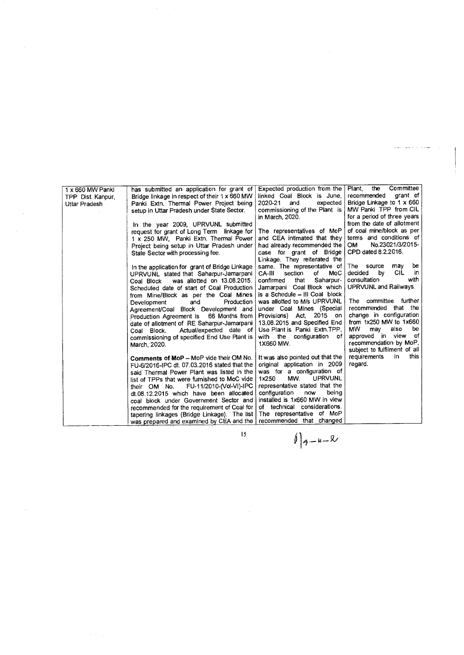| 1 x 660 MW Panki  | has submitted an application for grant of      | Expected production from the     | Committee<br>Plant.<br>the        |
|-------------------|------------------------------------------------|----------------------------------|-----------------------------------|
| TPP Dist. Kanpur, | Bridge linkage in respect of their 1 x 660 MW  | linked Coal Block is June,       | recommended<br>arant of           |
| Uttar Pradesh     | Panki Extn. Thermal Power Project being        | expected<br>2020-21<br>and       | Bridge Linkage to 1 x 660         |
|                   | setup in Uttar Pradesh under State Sector.     | commissioning of the Plant is    | MW Panki TPP from CIL             |
|                   |                                                | in March, 2020.                  | for a period of three years       |
|                   | In the year 2009, UPRVUNL submitted            |                                  | from the date of allotment        |
|                   | request for grant of Long Term linkage for     | The representatives of MoP       | of coal mine/block as per         |
|                   | 1 x 250 MW, Panki Extn. Thermal Power          | and CEA intimated that they      | terms and conditions of           |
|                   | Project being setup in Uttar Pradesh under     | had already recommended the      | No.23021/3/2015-<br><b>OM</b>     |
|                   | State Sector with processing fee.              | case for grant of Bridge         | CPD dated 8.2.2016.               |
|                   |                                                | Linkage. They reiterated the     |                                   |
|                   | In the application for grant of Bridge Linkage | same. The representative of      | be<br>The source<br>may           |
|                   | UPRVUNL stated that Saharpur-Jamarpani         | section<br>of<br>MoC<br>CA-III   | <b>CIL</b><br>decided<br>by<br>in |
|                   | was allotted on 13.08.2015.<br>Coal Block      | confirmed<br>Saharpur-<br>that   | with<br>consultation              |
|                   | Scheduled date of start of Coal Production     | Jamarpani Coal Block which       | UPRVUNL and Railways.             |
|                   | from Mine/Block as per the Coal Mines          | is a Schedule - III Coal block   |                                   |
|                   | Production<br>Development<br>and               | was allotted to M/s UPRVUNL      | The committee further             |
|                   | Agreement/Coal Block Development and           | under Coal Mines (Special        | recommended that the              |
|                   |                                                | Act, 2015 on<br>Provisions)      | change in configuration           |
|                   | Production Agreement is 66 Months from         | 13,08,2015 and Specified End     | from 1x250 MW to 1x660            |
|                   | date of allotment of RE Saharpur-Jamarpani     | Use Plant is Panki Extn. TPP.    | мw<br>also<br>be<br>may           |
|                   | Actual/expected date of<br>Coal Block.         |                                  | approved in view of               |
|                   | commissioning of specified End Use Plant is    | with the configuration of        | recommendation by MoP,            |
|                   | March, 2020.                                   | 1X660 MW.                        | subject to fulfilment of all      |
|                   |                                                |                                  | this<br>in                        |
|                   | Comments of MoP - MoP vide their OM No.        | It was also pointed out that the | requirements                      |
|                   | FU-6/2016-IPC dt. 07.03.2016 stated that the   | original application in 2009     | regard.                           |
|                   | said Thermal Power Plant was listed in the     | was for a configuration of       |                                   |
|                   | list of TPPs that were furnished to MoC vide   | MW.<br><b>UPRVUNL</b><br>1x250   |                                   |
|                   | FU-11/2010-(Vol-VI)-IPC<br>their OM No.        | representative stated that the   |                                   |
|                   | dt.08.12.2015 which have been allocated        | being<br>configuration<br>now    |                                   |
|                   | coal block under Government Sector and         | installed is 1x660 MW in view    |                                   |
|                   | recommended for the requirement of Coal for    | of technical considerations.     |                                   |
|                   | tapering linkages (Bridge Linkage). The list   | The representative of MoP        |                                   |
|                   | was prepared and examined by CEA and the       | recommended that changed         |                                   |
|                   |                                                |                                  |                                   |

 $\int |q-u-x|$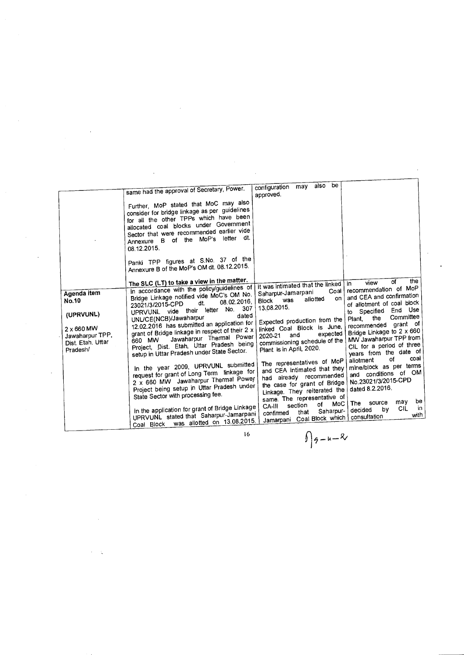|                                                                                                            | same had the approval of Secretary, Power.<br>Further, MoP stated that MoC may also<br>consider for bridge linkage as per guidelines<br>for all the other TPPs which have been<br>allocated coal blocks under Government<br>Sector that were recommended earlier vide<br>Annexure B of the MoP's letter dt.<br>08.12.2015.<br>Panki TPP figures at S.No. 37 of the<br>Annexure B of the MoP's OM dt. 08.12.2015.                                                                                                                                                                                                                                                                                                                                                                                                                                         | be<br>also<br>may<br>configuration<br>approved.                                                                                                                                                                                                                                                                                                                                                                                                                                                                                                                     |                                                                                                                                                                                                                                                                                                                                                                                                                                                                                                                                      |
|------------------------------------------------------------------------------------------------------------|----------------------------------------------------------------------------------------------------------------------------------------------------------------------------------------------------------------------------------------------------------------------------------------------------------------------------------------------------------------------------------------------------------------------------------------------------------------------------------------------------------------------------------------------------------------------------------------------------------------------------------------------------------------------------------------------------------------------------------------------------------------------------------------------------------------------------------------------------------|---------------------------------------------------------------------------------------------------------------------------------------------------------------------------------------------------------------------------------------------------------------------------------------------------------------------------------------------------------------------------------------------------------------------------------------------------------------------------------------------------------------------------------------------------------------------|--------------------------------------------------------------------------------------------------------------------------------------------------------------------------------------------------------------------------------------------------------------------------------------------------------------------------------------------------------------------------------------------------------------------------------------------------------------------------------------------------------------------------------------|
| Agenda item<br><b>No.10</b><br>(UPRVUNL)<br>2 x 660 MW<br>Jawaharpur TPP,<br>Dist. Etah. Uttar<br>Pradesh/ | The SLC (LT) to take a view in the matter.<br>In accordance with the policy/guidelines of<br>Bridge Linkage notified vide MoC's OM No.<br>08.02.2016,<br>dt.<br>23021/3/2015-CPD<br>307<br>No.<br>UPRVUNL vide their letter<br>dated<br>UNL/CE(NCB)/Jawaharpur<br>12.02.2016 has submitted an application for<br>grant of Bridge linkage in respect of their 2 x<br>Jawaharpur Thermal Power<br>660 MW<br>Project, Dist. Etah, Uttar Pradesh being<br>setup in Uttar Pradesh under State Sector.<br>In the year 2009, UPRVUNL submitted<br>request for grant of Long Term linkage for<br>2 x 660 MW Jawaharpur Thermal Power<br>Project being setup in Uttar Pradesh under<br>State Sector with processing fee.<br>In the application for grant of Bridge Linkage<br>UPRVUNL stated that Saharpur-Jamarpani<br>was allotted on 13.08.2015.<br>Coal Block | it was intimated that the linked<br>Coal<br>Saharpur-Jamarpani<br>on<br>allotted<br>was<br>Block<br>13.08.2015.<br>Expected production from the<br>linked Coal Block is June,<br>expected<br>and<br>2020-21<br>commissioning schedule of the<br>Plant is in April, 2020.<br>The representatives of MoP<br>and CEA intimated that they<br>had already recommended<br>the case for grant of Bridge<br>Linkage. They reiterated the<br>same. The representative of<br>MoC  <br>οf<br>section<br>CA-III<br>Saharpur-<br>that<br>confirmed<br>Jamarpani Coal Block which | the<br>οf<br>view<br>In.<br>recommendation of MoP<br>and CEA and confirmation<br>of allotment of coal block<br>End Use<br>Specified<br>to.<br>Committee<br>the<br>Plant.<br>grant of<br>recommended<br>Bridge Linkage to 2 x 660<br>MW Jawaharpur TPP from<br>CIL for a period of three<br>years from the date of<br>coal<br>of<br>allotment<br>mine/block as per terms<br>and conditions of OM<br>No.23021/3/2015-CPD<br>dated 8.2.2016.<br>be<br>may<br>source<br>The<br><b>CIL</b><br>in<br>b٧<br>decided<br>with<br>consultation |

 $\hat{\mathcal{A}}$ 

 $\hat{\boldsymbol{\beta}}$ 

 $\frac{1}{2}$  .

 $\bar{\beta}$ 

16

-u-X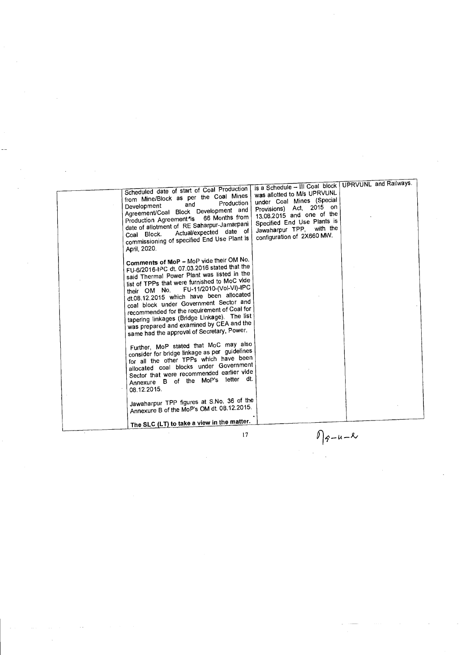|                                                                                                                                                                                                                                                                                                                                                                                                                                                                                                             | is a Schedule - III Coal block   UPRVUNL and Railways.                                                                                                                                                     |  |
|-------------------------------------------------------------------------------------------------------------------------------------------------------------------------------------------------------------------------------------------------------------------------------------------------------------------------------------------------------------------------------------------------------------------------------------------------------------------------------------------------------------|------------------------------------------------------------------------------------------------------------------------------------------------------------------------------------------------------------|--|
| Scheduled date of start of Coal Production<br>from Mine/Block as per the Coal Mines<br>Production<br>and<br>Development<br>Agreement/Coal Block Development and<br>66 Months from<br>Production Agreement <sup>*</sup> is<br>date of allotment of RE Saharpur-Jamarpani<br>Actual/expected date of<br>Coal Block.<br>commissioning of specified End Use Plant is<br>April 2020.                                                                                                                             | was allotted to M/s UPRVUNL<br>under Coal Mines (Special<br>Provisions) Act, 2015 on<br>13.08.2015 and one of the<br>Specified End Use Plants is<br>Jawaharpur TPP, with the<br>configuration of 2X660 MW. |  |
| Comments of MoP - MoP vide their OM No.<br>FU-6/2016-IPC dt. 07.03.2016 stated that the<br>said Thermal Power Plant was listed in the<br>list of TPPs that were furnished to MoC vide<br>their OM No. FU-11/2010-(Vol-VI)-IPC<br>dt.08.12.2015 which have been allocated<br>coal block under Government Sector and<br>recommended for the requirement of Coal for<br>tapering linkages (Bridge Linkage). The list<br>was prepared and examined by CEA and the<br>same had the approval of Secretary, Power. |                                                                                                                                                                                                            |  |
| Further, MoP stated that MoC may also<br>consider for bridge linkage as per guidelines<br>for all the other TPPs which have been<br>allocated coal blocks under Government<br>Sector that were recommended earlier vide<br>Annexure B of the MoP's letter dt.<br>08.12.2015.                                                                                                                                                                                                                                |                                                                                                                                                                                                            |  |
| Jawaharpur TPP figures at S.No. 36 of the<br>Annexure B of the MoP's OM dt. 08.12.2015.<br>The SLC (LT) to take a view in the matter.                                                                                                                                                                                                                                                                                                                                                                       |                                                                                                                                                                                                            |  |
| 17                                                                                                                                                                                                                                                                                                                                                                                                                                                                                                          | $\ell$  q-u- $\ell$                                                                                                                                                                                        |  |

 $\sqrt{9-4-8}$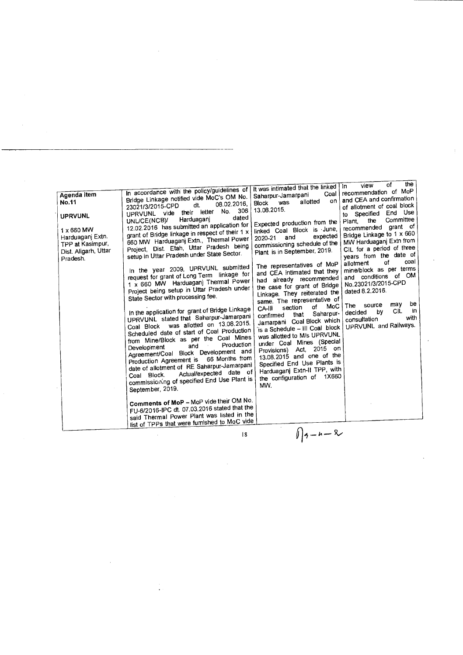| It was intimated that the linked<br>In accordance with the policy/guidelines of<br>Agenda item<br>Saharpur-Jamarpani<br>Bridge Linkage notified vide MoC's OM No.<br>No.11<br>was<br><b>Block</b><br>08.02.2016.<br>dt.<br>23021/3/2015-CPD<br>13.08.2015.<br>No. 306<br>UPRVUNL vide their letter<br><b>UPRVUNL</b><br>dated<br>Harduaganj<br>UNL/CE(NCB)/<br>Expected production from the<br>12.02.2016 has submitted an application for<br>linked Coal Block is June,<br>1 x 660 MW<br>grant of Bridge linkage in respect of their 1 x<br>Harduaganj Extn.<br>and<br>2020-21<br>660 MW Harduaganj Extn., Thermal Power<br>commissioning schedule of the<br>TPP at Kasimpur,<br>Project, Dist. Etah, Uttar Pradesh being<br>Plant is in September, 2019.<br>Dist. Aligarh, Uttar<br>setup in Uttar Pradesh under State Sector.<br>Pradesh.<br>The representatives of MoP<br>In the year 2009, UPRVUNL submitted<br>and CEA intimated that they<br>request for grant of Long Term linkage for<br>had already recommended<br>1 x 660 MW Harduaganj Thermal Power<br>the case for grant of Bridge<br>Project being setup in Uttar Pradesh under<br>Linkage. They reiterated the<br>State Sector with processing fee.<br>same. The representative of<br>section<br>CA-III<br>In the application for grant of Bridge Linkage<br>that<br>confirmed<br>UPRVUNL stated that Saharpur-Jamarpani<br>Jamarpani Coal Block which<br>was allotted on 13.08.2015.<br>Coal Block<br>'is a Schedule – III Coal block<br>Scheduled date of start of Coal Production<br>was allotted to M/s UPRVUNL<br>from Mine/Block as per the Coal Mines<br>under Coal Mines (Special<br>Production<br>and<br>Development<br>Provisions) Act, 2015 on<br>Agreement/Coal Block Development and<br>13.08.2015 and one of the<br>66 Months from<br>Production Agreement is<br>Specified End Use Plants is<br>date of allotment of RE Saharpur-Jamarpani<br>Harduaganj Extn-II TPP, with<br>Actual/expected date of<br>Coal Block.<br>the configuration of 1X660<br>commissioning of specified End Use Plant is<br>MW.<br>September, 2019.<br>Comments of MoP - MoP vide their OM No.<br>FU-6/2016-IPC dt. 07.03.2016 stated that the |                                                              | the<br>of<br>view<br>In                                                                                                                                                                                                                                                                                                                                                                                                                                                                                              |
|-------------------------------------------------------------------------------------------------------------------------------------------------------------------------------------------------------------------------------------------------------------------------------------------------------------------------------------------------------------------------------------------------------------------------------------------------------------------------------------------------------------------------------------------------------------------------------------------------------------------------------------------------------------------------------------------------------------------------------------------------------------------------------------------------------------------------------------------------------------------------------------------------------------------------------------------------------------------------------------------------------------------------------------------------------------------------------------------------------------------------------------------------------------------------------------------------------------------------------------------------------------------------------------------------------------------------------------------------------------------------------------------------------------------------------------------------------------------------------------------------------------------------------------------------------------------------------------------------------------------------------------------------------------------------------------------------------------------------------------------------------------------------------------------------------------------------------------------------------------------------------------------------------------------------------------------------------------------------------------------------------------------------------------------------------------------------------------------------------------------------------------------------------------------------------------------------------|--------------------------------------------------------------|----------------------------------------------------------------------------------------------------------------------------------------------------------------------------------------------------------------------------------------------------------------------------------------------------------------------------------------------------------------------------------------------------------------------------------------------------------------------------------------------------------------------|
| said Thermal Power Plant was listed in the<br>list of TPPs that were furnished to MoC vide                                                                                                                                                                                                                                                                                                                                                                                                                                                                                                                                                                                                                                                                                                                                                                                                                                                                                                                                                                                                                                                                                                                                                                                                                                                                                                                                                                                                                                                                                                                                                                                                                                                                                                                                                                                                                                                                                                                                                                                                                                                                                                            | Coal I<br>on.<br>allotted<br>expected<br>of MoC<br>Saharpur- | recommendation of MoP<br>and CEA and confirmation<br>of allotment of coal block<br>End Use<br>Specified<br>to<br>Committee<br>the<br>Plant.<br>recommended grant of<br>Bridge Linkage to 1 x 660<br>MW Harduaganj Extn from<br>CIL for a period of three<br>years from the date of<br>coal<br>of<br>allotment<br>mine/block as per terms<br>and conditions of OM<br>No.23021/3/2015-CPD<br>dated 8.2.2016.<br>be<br>may<br>The source<br>İП<br>CIL<br>by<br>decided<br>with<br>consultation<br>UPRVUNL and Railways. |
| 8                                                                                                                                                                                                                                                                                                                                                                                                                                                                                                                                                                                                                                                                                                                                                                                                                                                                                                                                                                                                                                                                                                                                                                                                                                                                                                                                                                                                                                                                                                                                                                                                                                                                                                                                                                                                                                                                                                                                                                                                                                                                                                                                                                                                     | $1/3 - 4 - 8$                                                |                                                                                                                                                                                                                                                                                                                                                                                                                                                                                                                      |

 $\frac{1}{2}$ 

 $\sim$ 

 $\sim 10^7$ 

 $\mathcal{A}$ 

 $\frac{1}{\sqrt{2}}$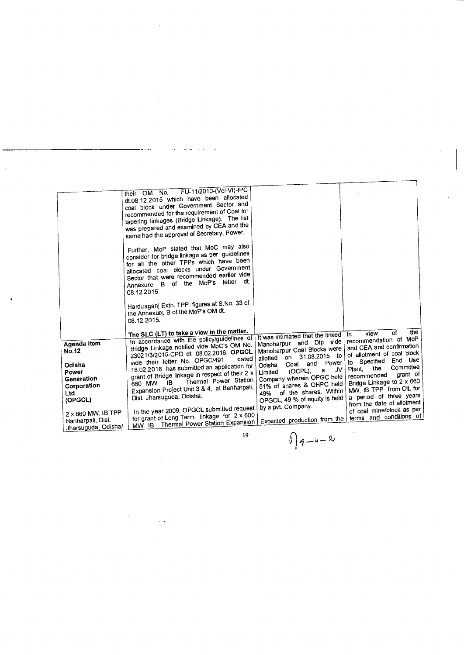|                                                            | FU-11/2010-(Vol-VI)-IPC<br>their OM No.<br>dt.08.12.2015 which have been allocated<br>coal block under Government Sector and<br>recommended for the requirement of Coal for<br>tapering linkages (Bridge Linkage). The list<br>was prepared and examined by CEA and the<br>same had the approval of Secretary, Power. |                                                                                                                                                           |                                                                                                               |
|------------------------------------------------------------|-----------------------------------------------------------------------------------------------------------------------------------------------------------------------------------------------------------------------------------------------------------------------------------------------------------------------|-----------------------------------------------------------------------------------------------------------------------------------------------------------|---------------------------------------------------------------------------------------------------------------|
|                                                            | Further, MoP stated that MoC may also<br>consider for bridge linkage as per guidelines<br>for all the other TPPs which have been<br>allocated coal blocks under Government<br>Sector that were recommended earlier vide<br>MoP's letter dt.<br>of the<br>Annexure B<br>08.12.2015.                                    |                                                                                                                                                           |                                                                                                               |
|                                                            | Harduaganj Extn. TPP figures at S.No. 33 of<br>the Annexure B of the MoP's OM dt.<br>08.12.2015.                                                                                                                                                                                                                      |                                                                                                                                                           |                                                                                                               |
|                                                            | The SLC (LT) to take a view in the matter.                                                                                                                                                                                                                                                                            | It was intimated that the linked                                                                                                                          | the<br>of<br>view<br>In.                                                                                      |
| Agenda item<br><b>No.12</b>                                | In accordance with the policy/guidelines of<br>Bridge Linkage notified vide MoC's OM No.<br>23021/3/2015-CPD dt. 08.02.2016, OPGCL<br>dated<br>vide their letter No. OPGC/491                                                                                                                                         | Manoharpur and Dip side<br>Manoharpur Coal Blocks were<br>31.08.2015<br>to:<br>on<br>allotted                                                             | recommendation of MoP<br>and CEA and confirmation<br>of allotment of coal block<br>End Use<br>to Specified    |
| Odisha<br>Power<br>Generation<br>Corporation<br><b>Ltd</b> | 18.02.2016 has submitted an application for<br>grant of Bridge linkage in respect of their 2 x<br>Thermal Power Station<br><b>IB</b><br>660 MW<br>Expansion Project Unit 3 & 4, at Banharpali,                                                                                                                        | Power<br>and<br>Coal<br>Odisha<br>J٧<br>(OCPL),<br>a<br>Limited<br>Company wherein OPGC held<br>51% of shares & OHPC held<br>of the shares. Within<br>49% | Committee<br>the<br>Plant,<br>grant of<br>recommended<br>Bridge Linkage to 2 x 660<br>MW, IB TPP from CIL for |
| (OPGCL)                                                    | Dist. Jharsuguda, Odisha.                                                                                                                                                                                                                                                                                             | OPGCL, 49 % of equity is held                                                                                                                             | a period of three years<br>from the date of allotment                                                         |
| 2 x 660 MW, IB TPP<br>Banharpali, Dist.                    | In the year 2009, OPGCL submitted request<br>for grant of Long Term linkage for 2 x 600<br>Thermal Power Station Expansion  <br>MW IB                                                                                                                                                                                 | by a pvt. Company.<br>Expected production from the                                                                                                        | of coal mine/block as per<br>terms and conditions of                                                          |
| Jharsuguda, Odisha/                                        |                                                                                                                                                                                                                                                                                                                       |                                                                                                                                                           |                                                                                                               |

 $09 - u - 8$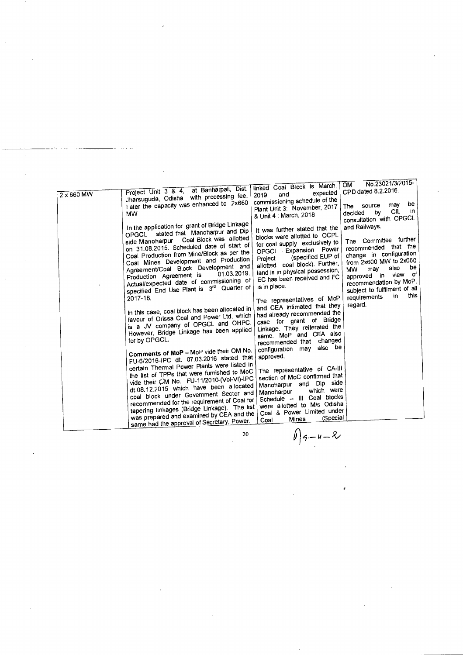| $2 \times 660$ MW | Project Unit 3 & 4, at Banharpali, Dist.<br>Jharsuguda, Odisha with processing fee.<br>Later the capacity was enhanced to 2x660<br><b>MW</b>                                                                                                                                                                                                                                                                                                                                                                                                                                                                                                                                                                                                                                                                                                                                                                                                                                                                                                                                                                                                                                       | linked Coal Block is March,<br>expected<br>and<br>2019<br>commissioning schedule of the<br>Plant Unit 3: November, 2017<br>& Unit 4 : March, 2018                                                                                                                                                                                                                                                                                                                                                                                                                                                                                                                                                                                                                                              | No.23021/3/2015-<br><b>OM</b><br>CPD dated 8.2.2016.<br>be<br>may<br>source<br>The<br><b>CIL</b><br>in<br>by<br>decided<br>consultation with OPGCL                                                                                                                                  |
|-------------------|------------------------------------------------------------------------------------------------------------------------------------------------------------------------------------------------------------------------------------------------------------------------------------------------------------------------------------------------------------------------------------------------------------------------------------------------------------------------------------------------------------------------------------------------------------------------------------------------------------------------------------------------------------------------------------------------------------------------------------------------------------------------------------------------------------------------------------------------------------------------------------------------------------------------------------------------------------------------------------------------------------------------------------------------------------------------------------------------------------------------------------------------------------------------------------|------------------------------------------------------------------------------------------------------------------------------------------------------------------------------------------------------------------------------------------------------------------------------------------------------------------------------------------------------------------------------------------------------------------------------------------------------------------------------------------------------------------------------------------------------------------------------------------------------------------------------------------------------------------------------------------------------------------------------------------------------------------------------------------------|-------------------------------------------------------------------------------------------------------------------------------------------------------------------------------------------------------------------------------------------------------------------------------------|
|                   | In the application for grant of Bridge Linkage<br>stated that Manoharpur and Dip<br>OPGCL<br>side Manoharpur Coal Block was allotted<br>on 31.08.2015. Scheduled date of start of<br>Coal Production from Mine/Block as per the<br>Coal Mines Development and Production<br>Agreement/Coal Block Development and<br>01.03.2019.<br>Production Agreement is<br>Actual/expected date of commissioning of<br>specified End Use Plant is 3rd Quarter of<br>2017-18.<br>In this case, coal block has been allocated in<br>favour of Orissa Coal and Power Ltd. which<br>is a JV company of OPGCL and OHPC.<br>However, Bridge Linkage has been applied<br>for by OPGCL.<br>Comments of MoP - MoP vide their OM No.<br>FU-6/2016-IPC dt. 07.03.2016 stated that<br>certain Thermal Power Plants were listed in<br>the list of TPPs that were furnished to MoC<br>vide their CM No. FU-11/2010-(Vol-VI)-IPC<br>dt.08.12.2015 which have been allocated<br>coal block under Government Sector and<br>recommended for the requirement of Coal for<br>tapering linkages (Bridge Linkage). The list<br>was prepared and examined by CEA and the<br>same had the approval of Secretary, Power. | It was further stated that the<br>blocks were allotted to OCPL<br>for coal supply exclusively to<br>OPGCL Expansion Power<br>(specified EUP of<br>Project<br>allotted coal block). Further,<br>land is in physical possession,<br>EC has been received and FC<br>is in place.<br>The representatives of MoP<br>and CEA intimated that they<br>had already recommended the<br>case for grant of Bridge<br>Linkage. They reiterated the<br>same. MoP and CEA also<br>changed<br>recommended that<br>also be<br>configuration may<br>approved.<br>The representative of CA-III<br>section of MoC confirmed that<br>side<br>Manoharpur and Dip<br>which were<br>Manoharpur<br>Schedule - III Coal blocks<br>were allotted to M/s Odisha<br>Coal & Power Limited under<br>(Special<br>Mines<br>Coal | and Railways.<br>The Committee further<br>recommended that the<br>change in configuration<br>from 2x600 MW to 2x660<br>be<br>also<br>may<br><b>MW</b><br>view of<br>approved in<br>recommendation by MoP.<br>subject to fulfilment of all<br>this<br>in.<br>requirements<br>regard. |
|                   |                                                                                                                                                                                                                                                                                                                                                                                                                                                                                                                                                                                                                                                                                                                                                                                                                                                                                                                                                                                                                                                                                                                                                                                    |                                                                                                                                                                                                                                                                                                                                                                                                                                                                                                                                                                                                                                                                                                                                                                                                |                                                                                                                                                                                                                                                                                     |

20  $\int_{0}^{2} 9 - u - x^2 dx$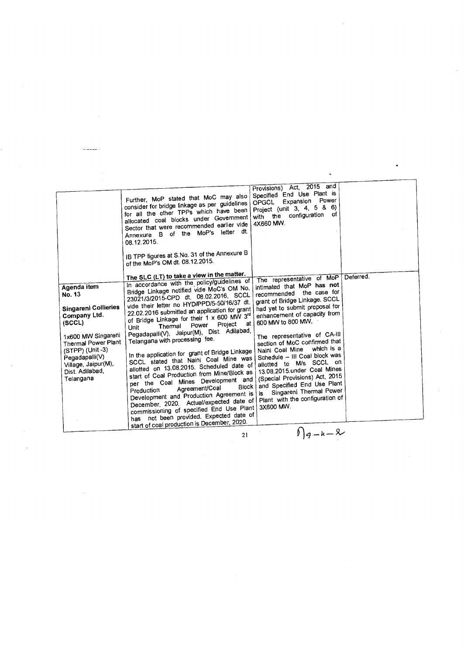|                                                                                                                                                                                                                         | Further, MoP stated that MoC may also<br>consider for bridge linkage as per guidelines<br>for all the other TPPs which have been<br>allocated coal blocks under Government<br>Sector that were recommended earlier vide<br>Annexure B of the MoP's letter dt.<br>08.12.2015.<br>IB TPP figures at S.No. 31 of the Annexure B<br>of the MoP's OM dt. 08.12.2015.                                                                                                                                                                                                                                                                                                                                                                                                                                                                                                                                                                                            | 2015 and<br>Provisions) Act,<br>Specified End Use Plant is<br>Expansion Power<br><b>OPGCL</b><br>Project (unit 3, 4, 5 & 6)<br>with the configuration of<br>4X660 MW.                                                                                                                                                                                                                                                                                                                                                                                                          |           |  |
|-------------------------------------------------------------------------------------------------------------------------------------------------------------------------------------------------------------------------|------------------------------------------------------------------------------------------------------------------------------------------------------------------------------------------------------------------------------------------------------------------------------------------------------------------------------------------------------------------------------------------------------------------------------------------------------------------------------------------------------------------------------------------------------------------------------------------------------------------------------------------------------------------------------------------------------------------------------------------------------------------------------------------------------------------------------------------------------------------------------------------------------------------------------------------------------------|--------------------------------------------------------------------------------------------------------------------------------------------------------------------------------------------------------------------------------------------------------------------------------------------------------------------------------------------------------------------------------------------------------------------------------------------------------------------------------------------------------------------------------------------------------------------------------|-----------|--|
| Agenda item<br>No. 13<br><b>Singareni Collieries</b><br>Company Ltd.<br>(SCCL)<br>1x600 MW Singareni<br>Thermal Power Plant<br>(STPP) (Unit-3)<br>Pegadapalli(V)<br>Village, Jaipur(M),<br>Dist. Adilabad,<br>Telangana | The SLC (LT) to take a view in the matter.<br>In accordance with the policy/guidelines of<br>Bridge Linkage notified vide MoC's OM No.<br>23021/3/2015-CPD dt. 08.02.2016, SCCL<br>vide their letter no HYD/PPD/5-50/16/37 dt.<br>22.02.2016 submitted an application for grant<br>of Bridge Linkage for their 1 x 600 MW 3rd<br>Project at<br>Power<br>Thermal<br>Unit<br>Pegadapalli(V), Jaipur(M), Dist. Adilabad,<br>Telangana with processing fee.<br>In the application for grant of Bridge Linkage<br>SCCL stated that Naini Coal Mine was<br>allotted on 13.08.2015. Scheduled date of<br>start of Coal Production from Mine/Block as<br>per the Coal Mines Development and<br>Block  <br>Agreement/Coal<br>Production<br>Development and Production Agreement is<br>December, 2020. Actual/expected date of<br>commissioning of specified End Use Plant<br>has not been provided. Expected date of<br>start of coal production is December, 2020. | The representative of MoP<br>intimated that MoP has not<br>recommended the case for<br>grant of Bridge Linkage. SCCL<br>had yet to submit proposal for<br>enhancement of capacity from<br>600 MW to 800 MW.<br>The representative of CA-III<br>section of MoC confirmed that<br>which is a<br>Naini Coal Mine<br>Schedule - III Coal block was<br>allotted to M/s SCCL on<br>13.08.2015.under Coal Mines<br>(Special Provisions) Act, 2015<br>and Specified End Use Plant<br>Singareni Thermal Power<br>is<br>Plant with the configuration of<br>3X600 MW.<br>C.<br>$\sqrt{2}$ | Deferred. |  |

21  $\theta$  |q.

 $\mathcal{L}_{\text{max}}$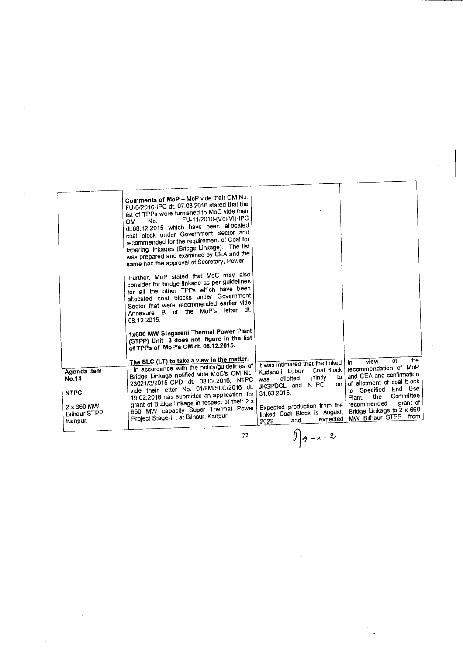|                                        | Comments of MoP - MoP vide their OM No.<br>FU-6/2016-IPC dt. 07.03.2016 stated that the<br>list of TPPs were furnished to MoC vide their<br>FU-11/2010-(Vol-VI)-IPC<br>No.<br>OM.<br>dt.08.12.2015 which have been allocated<br>coal block under Government Sector and<br>recommended for the requirement of Coal for<br>tapering linkages (Bridge Linkage). The list<br>was prepared and examined by CEA and the<br>same had the approval of Secretary, Power. |                                                                                                         |                                                                                 |
|----------------------------------------|-----------------------------------------------------------------------------------------------------------------------------------------------------------------------------------------------------------------------------------------------------------------------------------------------------------------------------------------------------------------------------------------------------------------------------------------------------------------|---------------------------------------------------------------------------------------------------------|---------------------------------------------------------------------------------|
|                                        | Further, MoP stated that MoC may also<br>consider for bridge linkage as per guidelines<br>for all the other TPPs which have been<br>allocated coal blocks under Government<br>Sector that were recommended earlier vide<br>dt.<br>Annexure B of the MoP's letter<br>08.12.2015.                                                                                                                                                                                 |                                                                                                         |                                                                                 |
|                                        | 1x600 MW Singareni Thermal Power Plant<br>(STPP) Unit 3 does not figure in the list<br>of TPPs of MoP's OM dt. 08.12.2015.<br>The SLC (LT) to take a view in the matter.                                                                                                                                                                                                                                                                                        |                                                                                                         | the<br>of                                                                       |
|                                        | In accordance with the policy/guidelines of                                                                                                                                                                                                                                                                                                                                                                                                                     | It was intimated that the linked                                                                        | view<br>In.<br>recommendation of MoP                                            |
| Agenda item<br><b>No.14</b>            | Bridge Linkage notified vide MoC's OM No.<br>23021/3/2015-CPD dt. 08.02.2016, NTPC                                                                                                                                                                                                                                                                                                                                                                              | Coal Block<br>Kudanali - Luburi<br>jointly<br>to<br>allotted<br>was<br><b>NTPC</b><br>on<br>JKSPDCL and | and CEA and confirmation<br>of allotment of coal block                          |
| <b>NTPC</b>                            | vide their letter No. 01/FM/SLC/2016 dt.<br>19.02.2016 has submitted an application for                                                                                                                                                                                                                                                                                                                                                                         | 31.03.2015.                                                                                             | Specified End Use<br>to<br>Committee<br>the<br>Plant.                           |
| 2 x 660 MW<br>Bilhaur STPP.<br>Kanpur. | grant of Bridge linkage in respect of their 2 x<br>660 MW capacity Super Thermal Power<br>Project Stage-II, at Bilhaur, Kanpur.                                                                                                                                                                                                                                                                                                                                 | Expected production from the<br>linked Coal Block is August,<br>expected<br>and<br>2022                 | grant of<br>recommended<br>Bridge Linkage to 2 x 660<br>from<br>MW Bilhaur STPP |
|                                        | 22                                                                                                                                                                                                                                                                                                                                                                                                                                                              | $  a - u - x  $                                                                                         |                                                                                 |

 $\iint_{9-u-x}$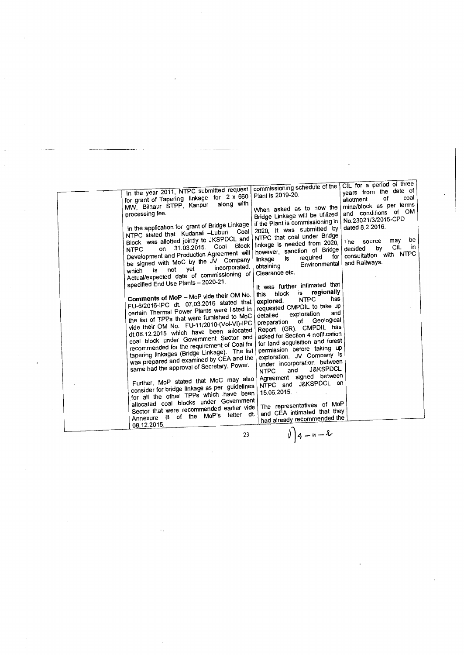| In the year 2011, NTPC submitted request<br>for grant of Tapering linkage for 2 x 660<br>along with<br>MW, Bilhaur STPP, Kanpur<br>processing fee.                                                                                                                                                                                                                                                                                                                                                                                                  | commissioning schedule of the<br>Plant is 2019-20.<br>When asked as to how the<br>Bridge Linkage will be utilized                                                                                                                                                                                                                                                                                                                                                       | CIL for a period of three<br>years from the date of<br>coal<br>of<br>allotment<br>mine/block as per terms<br>and conditions of OM                  |
|-----------------------------------------------------------------------------------------------------------------------------------------------------------------------------------------------------------------------------------------------------------------------------------------------------------------------------------------------------------------------------------------------------------------------------------------------------------------------------------------------------------------------------------------------------|-------------------------------------------------------------------------------------------------------------------------------------------------------------------------------------------------------------------------------------------------------------------------------------------------------------------------------------------------------------------------------------------------------------------------------------------------------------------------|----------------------------------------------------------------------------------------------------------------------------------------------------|
| In the application for grant of Bridge Linkage<br>Coal<br>NTPC stated that Kudanali -Luburi<br>Block was allotted jointly to JKSPDCL and<br><b>Block</b><br>on 31.03.2015. Coal<br><b>NTPC</b><br>Development and Production Agreement will<br>be signed with MoC by the JV Company<br>incorporated.<br>not yet<br>is.<br>which<br>Actual/expected date of commissioning of                                                                                                                                                                         | if the Plant is commissioning in<br>2020, it was submitted by<br>NTPC that coal under Bridge<br>linkage is needed from 2020,<br>however, sanction of Bridge<br>for<br>required<br>is<br>linkage<br>Environmental<br>obtaining<br>Clearance etc.                                                                                                                                                                                                                         | No.23021/3/2015-CPD<br>dated 8.2.2016.<br>be<br>may<br>The source<br><b>CIL</b><br>in.<br>by<br>decided<br>consultation with NTPC<br>and Railways. |
| specified End Use Plants - 2020-21.<br>Comments of MoP - MoP vide their OM No.<br>FU-6/2016-IPC dt. 07.03.2016 stated that<br>certain Thermal Power Plants were listed in<br>the list of TPPs that were furnished to MoC<br>vide their OM No. FU-11/2010-(Vol-VI)-IPC<br>dt.08.12.2015 which have been allocated<br>coal block under Government Sector and<br>recommended for the requirement of Coal for<br>tapering linkages (Bridge Linkage). The list<br>was prepared and examined by CEA and the<br>same had the approval of Secretary, Power. | It was further intimated that<br>regionally<br>is.<br>block<br>this<br>has<br><b>NTPC</b><br>explored.<br>requested CMPDIL to take up<br>and<br>exploration<br>detailed<br>Geological<br>of<br>preparation<br>Report (GR). CMPDIL has<br>asked for Section 4 notification<br>for land acquisition and forest<br>permission before taking up<br>exploration. JV Company is<br>under incorporation between<br>J&KSPDCL.<br>and<br><b>NTPC</b><br>Agreement signed between |                                                                                                                                                    |
| Further, MoP stated that MoC may also<br>consider for bridge linkage as per guidelines<br>for all the other TPPs which have been<br>allocated coal blocks under Government<br>Sector that were recommended earlier vide<br>Annexure B of the MoP's letter dt.<br>08.12.2015.                                                                                                                                                                                                                                                                        | NTPC and J&KSPDCL on<br>15.06.2015<br>The representatives of MoP<br>and CEA intimated that they<br>had already recommended the                                                                                                                                                                                                                                                                                                                                          |                                                                                                                                                    |

23  $\bigcup$  | 4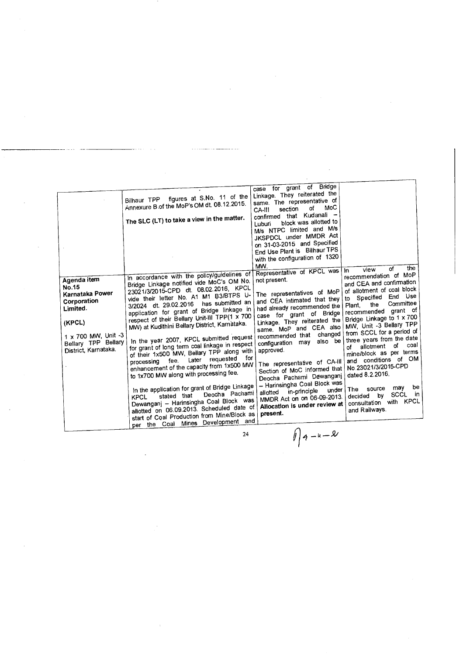| Luburi<br>M/s NTPC limited and M/s<br>JKSPDCL under MMDR Act<br>on 31-03-2015 and Specified<br>End Use Plant is Bilhaur TPS<br>with the configuration of 1320<br>MW.<br>the<br>of<br>view<br>Representative of KPCL was<br>In.<br>In accordance with the policy/guidelines of<br>recommendation of MoP<br>Agenda item<br>not present.<br>Bridge Linkage notified vide MoC's OM No.<br>and CEA and confirmation<br>No.15<br>23021/3/2015-CPD dt. 08.02.2016, KPCL<br>of allotment of coal block<br>The representatives of MoP<br>Karnataka Power<br>vide their letter No. A1 M1 B3/BTPS U-<br>Specified End Use<br>to<br>and CEA intimated that they<br>Corporation<br>has submitted an<br>Committee<br>3/2024 dt. 29.02.2016<br>the<br>Plant.<br>had already recommended the<br>Limited.<br>application for grant of Bridge linkage in<br>recommended grant of<br>case for grant of Bridge<br>respect of their Bellary Unit-III TPP(1 x 700<br>Bridge Linkage to 1 x 700<br>Linkage. They reiterated the<br>(KPCL)<br>MW) at Kudithini Bellary District, Karnataka.<br>MW, Unit -3 Bellary TPP<br>same. MoP and CEA also<br>from SCCL for a period of<br>changed<br>1 x 700 MW, Unit -3<br>recommended that<br>In the year 2007, KPCL submitted request<br>three years from the date<br>also be<br>Bellary TPP Bellary<br>configuration may<br>for grant of long term coal linkage in respect<br>coal<br>of<br>allotment<br>of<br>District, Karnataka.<br>approved.<br>of their 1x500 MW, Bellary TPP along with<br>mine/block as per terms<br>for<br>Later requested<br>and conditions of OM<br>processing fee.<br>The representative of CA-III<br>enhancement of the capacity from 1x500 MW<br>No.23021/3/2015-CPD<br>Section of MoC informed that<br>to 1x700 MW along with processing fee.<br>dated 8.2.2016.<br>Deocha Pachami Dewanganj<br>- Harinsingha Coal Block was<br>In the application for grant of Bridge Linkage<br>be<br>may<br>source<br>The<br>under<br>in-principle<br>allotted<br>Deocha Pachami<br>SCCL in<br>stated that<br>b٧<br>decided<br><b>KPCL</b><br>MMDR Act on on 06-09-2013.<br>Dewanganj - Harinsingha Coal Block was<br>consultation with KPCL<br>Allocation is under review at<br>allotted on 06.09.2013. Scheduled date of<br>and Railways.<br>present.<br>start of Coal Production from Mine/Block as<br>per the Coal Mines Development and<br>$  q-u-2  $<br>24 | case for grant of Bridge<br>Linkage. They reiterated the<br>figures at S.No. 11 of the<br>Bilhaur TPP<br>same. The representative of<br>Annexure B of the MoP's OM dt. 08.12.2015.<br>MoC<br>of<br>section<br>CA-III<br>confirmed that Kudanali -<br>The SLC (LT) to take a view in the matter.<br>block was allotted to |
|-------------------------------------------------------------------------------------------------------------------------------------------------------------------------------------------------------------------------------------------------------------------------------------------------------------------------------------------------------------------------------------------------------------------------------------------------------------------------------------------------------------------------------------------------------------------------------------------------------------------------------------------------------------------------------------------------------------------------------------------------------------------------------------------------------------------------------------------------------------------------------------------------------------------------------------------------------------------------------------------------------------------------------------------------------------------------------------------------------------------------------------------------------------------------------------------------------------------------------------------------------------------------------------------------------------------------------------------------------------------------------------------------------------------------------------------------------------------------------------------------------------------------------------------------------------------------------------------------------------------------------------------------------------------------------------------------------------------------------------------------------------------------------------------------------------------------------------------------------------------------------------------------------------------------------------------------------------------------------------------------------------------------------------------------------------------------------------------------------------------------------------------------------------------------------------------------------------------------------------------------------------------------------------------------------------------------------------------------------------------------------------------------------|--------------------------------------------------------------------------------------------------------------------------------------------------------------------------------------------------------------------------------------------------------------------------------------------------------------------------|
|-------------------------------------------------------------------------------------------------------------------------------------------------------------------------------------------------------------------------------------------------------------------------------------------------------------------------------------------------------------------------------------------------------------------------------------------------------------------------------------------------------------------------------------------------------------------------------------------------------------------------------------------------------------------------------------------------------------------------------------------------------------------------------------------------------------------------------------------------------------------------------------------------------------------------------------------------------------------------------------------------------------------------------------------------------------------------------------------------------------------------------------------------------------------------------------------------------------------------------------------------------------------------------------------------------------------------------------------------------------------------------------------------------------------------------------------------------------------------------------------------------------------------------------------------------------------------------------------------------------------------------------------------------------------------------------------------------------------------------------------------------------------------------------------------------------------------------------------------------------------------------------------------------------------------------------------------------------------------------------------------------------------------------------------------------------------------------------------------------------------------------------------------------------------------------------------------------------------------------------------------------------------------------------------------------------------------------------------------------------------------------------------------------|--------------------------------------------------------------------------------------------------------------------------------------------------------------------------------------------------------------------------------------------------------------------------------------------------------------------------|

 $\hat{\mathcal{A}}$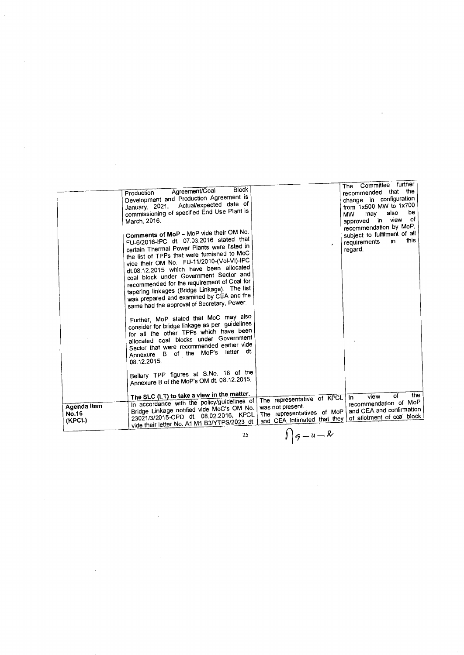|                                       | Block<br>Agreement/Coal<br>Production<br>Development and Production Agreement is<br>January, 2021. Actual/expected date of<br>commissioning of specified End Use Plant is<br>March, 2016.<br>Comments of MoP - MoP vide their OM No.<br>FU-6/2016-IPC dt. 07.03.2016 stated that<br>certain Thermal Power Plants were listed in<br>the list of TPPs that were furnished to MoC<br>vide their OM No. FU-11/2010-(Vol-VI)-IPC<br>dt.08.12.2015 which have been allocated<br>coal block under Government Sector and<br>recommended for the requirement of Coal for<br>tapering linkages (Bridge Linkage). The list<br>was prepared and examined by CEA and the<br>same had the approval of Secretary, Power.<br>Further, MoP stated that MoC may also<br>consider for bridge linkage as per guidelines<br>for all the other TPPs which have been<br>allocated coal blocks under Government<br>Sector that were recommended earlier vide<br>Annexure B of the MoP's letter dt.<br>08.12.2015.<br>Bellary TPP figures at S.No. 18 of the<br>Annexure B of the MoP's OM dt. 08.12.2015.<br>The SLC (LT) to take a view in the matter. |                                                                                                                                   | The Committee further<br>recommended that the<br>change in configuration<br>from 1x500 MW to 1x700<br>be<br>also<br>may<br><b>MW</b><br>of<br>approved in view<br>recommendation by MoP,<br>subject to fulfilment of all<br>this<br>in<br>requirements<br>regard.<br>the<br><b>of</b><br>view<br>In. |
|---------------------------------------|---------------------------------------------------------------------------------------------------------------------------------------------------------------------------------------------------------------------------------------------------------------------------------------------------------------------------------------------------------------------------------------------------------------------------------------------------------------------------------------------------------------------------------------------------------------------------------------------------------------------------------------------------------------------------------------------------------------------------------------------------------------------------------------------------------------------------------------------------------------------------------------------------------------------------------------------------------------------------------------------------------------------------------------------------------------------------------------------------------------------------------|-----------------------------------------------------------------------------------------------------------------------------------|------------------------------------------------------------------------------------------------------------------------------------------------------------------------------------------------------------------------------------------------------------------------------------------------------|
| Agenda item<br><b>No.16</b><br>(KPCL) | In accordance with the policy/guidelines of<br>Bridge Linkage notified vide MoC's OM No.<br>23021/3/2015-CPD dt. 08.02.2016, KPCL<br>vide their letter No. A1 M1 B3/YTPS/2023 dt.                                                                                                                                                                                                                                                                                                                                                                                                                                                                                                                                                                                                                                                                                                                                                                                                                                                                                                                                               | The representative of KPCL<br>was not present.<br>The representatives of MoP<br>and CEA intimated that they<br>$\curvearrowright$ | recommendation of MoP<br>and CEA and confirmation<br>of allotment of coal block                                                                                                                                                                                                                      |

 $\sim$   $\sim$ 

 $\mathcal{L}^{\text{max}}_{\text{max}}$  and  $\mathcal{L}^{\text{max}}_{\text{max}}$ 

 $\mathcal{L}^{\text{max}}_{\text{max}}$ 

 $\mathcal{L}^{\text{max}}_{\text{max}}$  . The  $\mathcal{L}^{\text{max}}_{\text{max}}$ 

25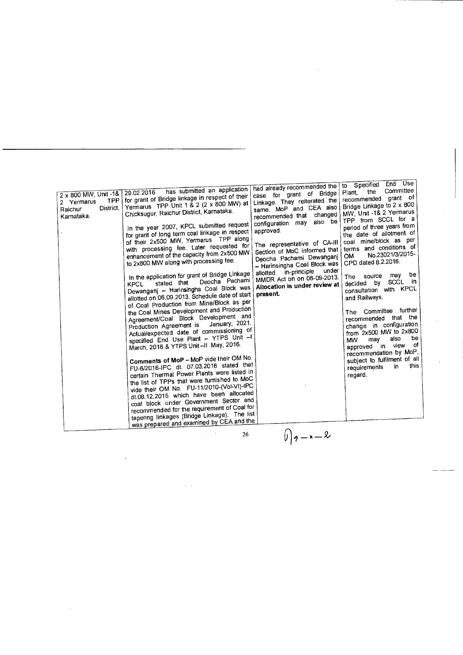| 2 x 800 MW, Unit -1& 29.02.2016<br><b>TPP</b><br>2 Yermarus<br>District,<br>Raichur<br>Karnataka. | has submitted an application<br>for grant of Bridge linkage in respect of their<br>Yermarus TPP Unit 1 & 2 (2 x 800 MW) at<br>Chicksugur, Raichur District, Karnataka.<br>In the year 2007, KPCL submitted request<br>for grant of long term coal linkage in respect<br>of their 2x500 MW, Yermarus TPP along<br>with processing fee. Later requested for<br>enhancement of the capacity from 2x500 MW<br>to 2x800 MW along with processing fee.<br>In the application for grant of Bridge Linkage<br>Deocha Pachami<br>stated that<br><b>KPCL</b><br>Dewanganj - Harinsingha Coal Block was<br>allotted on 06.09.2013. Schedule date of start<br>of Coal Production from Mine/Block as per<br>the Coal Mines Development and Production<br>Agreement/Coal Block Development and<br>January, 2021.<br>Production Agreement is<br>Actual/expected date of commissioning of<br>specified End Use Plant - YTPS Unit --<br>March, 2016 & YTPS Unit-II May, 2016.<br>Comments of MoP - MoP vide their OM No.<br>FU-6/2016-IPC dt. 07.03.2016 stated that<br>certain Thermal Power Plants were listed in<br>the list of TPPs that were furnished to MoC<br>vide their OM No. FU-11/2010-(Vol-VI)-IPC<br>dt.08.12.2015 which have been allocated<br>coal block under Government Sector and<br>recommended for the requirement of Coal for<br>tapering linkages (Bridge Linkage). The list<br>was prepared and examined by CEA and the | had already recommended the<br>case for grant of Bridge<br>Linkage. They reiterated the<br>same. MoP and CEA also<br>changed<br>recommended that<br>configuration may also be<br>approved.<br>The representative of CA-III<br>Section of MoC informed that<br>Deocha Pachami Dewanganj<br>- Harinsingha Coal Block was<br>under<br>in-principle<br>allotted<br>MMDR Act on on 06-09-2013.<br>Allocation is under review at<br>present. | to Specified End Use<br>Committee<br>the<br>Plant.<br>recommended grant of<br>Bridge Linkage to 2 x 800<br>MW, Unit -1& 2 Yermarus<br>TPP from SCCL for a<br>period of three years from<br>the date of allotment of<br>coal mine/block as per<br>terms and conditions of<br>No.23021/3/2015-<br><b>OM</b><br>CPD dated 8.2.2016.<br>be<br>may<br>source<br>The<br>SCCL in<br>by<br>decided<br>consultation with KPCL<br>and Railways.<br>The Committee further<br>recommended that the<br>change in configuration<br>from 2x500 MW to 2x800<br>be<br>also<br>may<br><b>MW</b><br>of<br>approved in view<br>recommendation by MoP.<br>subject to fulfilment of all<br>this<br>in.<br>requirements<br>regard. |
|---------------------------------------------------------------------------------------------------|--------------------------------------------------------------------------------------------------------------------------------------------------------------------------------------------------------------------------------------------------------------------------------------------------------------------------------------------------------------------------------------------------------------------------------------------------------------------------------------------------------------------------------------------------------------------------------------------------------------------------------------------------------------------------------------------------------------------------------------------------------------------------------------------------------------------------------------------------------------------------------------------------------------------------------------------------------------------------------------------------------------------------------------------------------------------------------------------------------------------------------------------------------------------------------------------------------------------------------------------------------------------------------------------------------------------------------------------------------------------------------------------------------------------------------|----------------------------------------------------------------------------------------------------------------------------------------------------------------------------------------------------------------------------------------------------------------------------------------------------------------------------------------------------------------------------------------------------------------------------------------|-------------------------------------------------------------------------------------------------------------------------------------------------------------------------------------------------------------------------------------------------------------------------------------------------------------------------------------------------------------------------------------------------------------------------------------------------------------------------------------------------------------------------------------------------------------------------------------------------------------------------------------------------------------------------------------------------------------|
|                                                                                                   | 26                                                                                                                                                                                                                                                                                                                                                                                                                                                                                                                                                                                                                                                                                                                                                                                                                                                                                                                                                                                                                                                                                                                                                                                                                                                                                                                                                                                                                             | $(y)$ g - n - 2                                                                                                                                                                                                                                                                                                                                                                                                                        |                                                                                                                                                                                                                                                                                                                                                                                                                                                                                                                                                                                                                                                                                                             |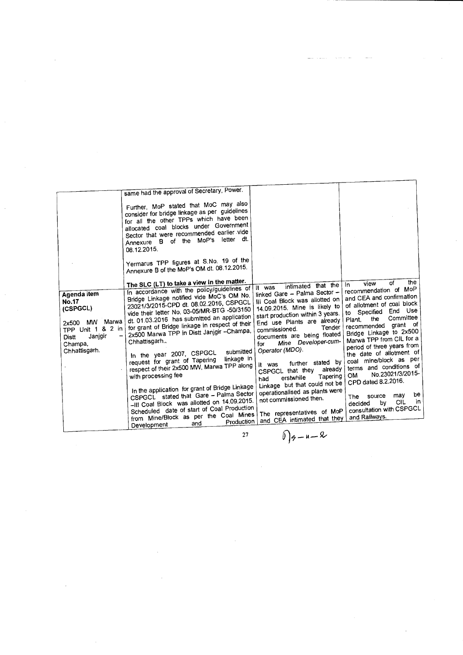| Agenda item<br><b>No.17</b><br>(CSPGCL)<br>MW Marwa<br>2x500<br>& 2 in<br>TPP Unit 1<br>Janjgir<br>$\qquad \qquad$<br><b>Distt</b><br>Champa,<br>Chhattisgarh. | same had the approval of Secretary, Power.<br>Further, MoP stated that MoC may also<br>consider for bridge linkage as per guidelines<br>for all the other TPPs which have been<br>allocated coal blocks under Government<br>Sector that were recommended earlier vide<br>letter dt.<br>Annexure B of the MoP's<br>08.12.2015.<br>Yermarus TPP figures at S.No. 19 of the<br>Annexure B of the MoP's OM dt. 08.12.2015.<br>The SLC (LT) to take a view in the matter.<br>In accordance with the policy/guidelines of<br>Bridge Linkage notified vide MoC's OM No.<br>23021/3/2015-CPD dt. 08.02.2016, CSPGCL<br>vide their letter No. 03-05/MR-BTG -50/3150<br>dt. 01.03.2016 has submitted an application<br>for grant of Bridge linkage in respect of their<br>2x500 Marwa TPP in Distt Janjgir - Champa,<br>Chhattisgarh.,<br>submitted<br>In the year 2007, CSPGCL<br>linkage in<br>request for grant of Tapering<br>respect of their 2x500 MW, Marwa TPP along<br>with processing fee<br>In the application for grant of Bridge Linkage<br>CSPGCL stated that Gare - Palma Sector<br>-III Coal Block was allotted on 14.09.2015.<br>Scheduled date of start of Coal Production<br>from Mine/Block as per the Coal Mines<br>Production | intimated that the<br>It was<br>linked Gare - Palma Sector -<br>III Coal Block was allotted on<br>14.09.2015. Mine is likely to<br>start production within 3 years.<br>End use Plants are already<br>Tender<br>commissioned.<br>documents are being floated<br>Mine Developer-cum-<br>for<br>Operator (MDO).<br>further stated by<br>It was<br>already<br>CSPGCL that they<br>Tapering<br>erstwhile<br>had<br>Linkage but that could not be<br>operationalised as plants were<br>not commissioned then.<br>The representatives of MoP<br>and CEA intimated that they | the<br>of<br>view<br>In.<br>recommendation of MoP<br>and CEA and confirmation<br>of allotment of coal block<br>End Use<br>to Specified<br>Committee<br>the<br>Plant.<br>grant of<br>recommended<br>Bridge Linkage to 2x500<br>Marwa TPP from CIL for a<br>period of three years from<br>the date of allotment of<br>coal mine/block as per<br>terms and conditions of<br>No.23021/3/2015-<br>OM.<br>CPD dated 8.2.2016.<br>be<br>may<br>source<br>The<br>in<br>CIL<br>bγ<br>decided<br>consultation with CSPGCL<br>and Railways. |
|----------------------------------------------------------------------------------------------------------------------------------------------------------------|-------------------------------------------------------------------------------------------------------------------------------------------------------------------------------------------------------------------------------------------------------------------------------------------------------------------------------------------------------------------------------------------------------------------------------------------------------------------------------------------------------------------------------------------------------------------------------------------------------------------------------------------------------------------------------------------------------------------------------------------------------------------------------------------------------------------------------------------------------------------------------------------------------------------------------------------------------------------------------------------------------------------------------------------------------------------------------------------------------------------------------------------------------------------------------------------------------------------------------------------|----------------------------------------------------------------------------------------------------------------------------------------------------------------------------------------------------------------------------------------------------------------------------------------------------------------------------------------------------------------------------------------------------------------------------------------------------------------------------------------------------------------------------------------------------------------------|----------------------------------------------------------------------------------------------------------------------------------------------------------------------------------------------------------------------------------------------------------------------------------------------------------------------------------------------------------------------------------------------------------------------------------------------------------------------------------------------------------------------------------|
|                                                                                                                                                                | and<br>Development                                                                                                                                                                                                                                                                                                                                                                                                                                                                                                                                                                                                                                                                                                                                                                                                                                                                                                                                                                                                                                                                                                                                                                                                                        |                                                                                                                                                                                                                                                                                                                                                                                                                                                                                                                                                                      |                                                                                                                                                                                                                                                                                                                                                                                                                                                                                                                                  |
|                                                                                                                                                                | 27                                                                                                                                                                                                                                                                                                                                                                                                                                                                                                                                                                                                                                                                                                                                                                                                                                                                                                                                                                                                                                                                                                                                                                                                                                        | $0 q-u-2$                                                                                                                                                                                                                                                                                                                                                                                                                                                                                                                                                            |                                                                                                                                                                                                                                                                                                                                                                                                                                                                                                                                  |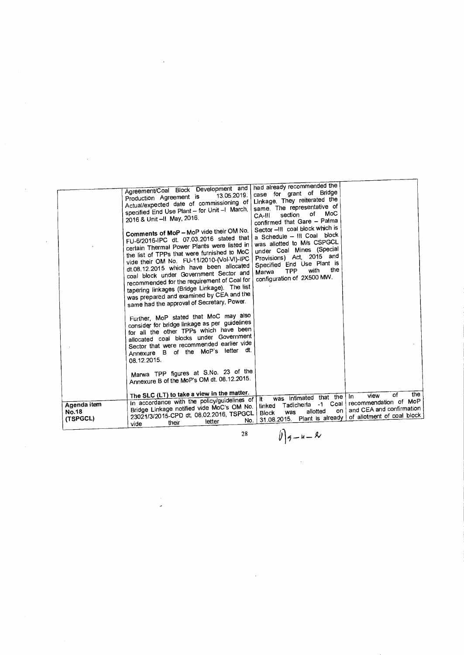|                                         | Agreement/Coal Block Development and<br>13.05.2019.<br>Production Agreement is<br>Actual/expected date of commissioning of<br>specified End Use Plant - for Unit -I March,<br>2016 & Unit -II May, 2016.<br>Comments of MoP - MoP vide their OM No.<br>FU-6/2016-IPC dt. 07.03.2016 stated that<br>certain Thermal Power Plants were listed in<br>the list of TPPs that were furnished to MoC<br>vide their OM No. FU-11/2010-(Vol-VI)-IPC<br>dt.08.12.2015 which have been allocated<br>coal block under Government Sector and<br>recommended for the requirement of Coal for<br>tapering linkages (Bridge Linkage). The list<br>was prepared and examined by CEA and the<br>same had the approval of Secretary, Power.<br>Further, MoP stated that MoC may also<br>consider for bridge linkage as per guidelines<br>for all the other TPPs which have been<br>allocated coal blocks under Government<br>Sector that were recommended earlier vide<br>Annexure B of the MoP's letter dt.<br>08.12.2015.<br>Marwa TPP figures at S.No. 23 of the<br>Annexure B of the MoP's OM dt. 08.12.2015.<br>The SLC (LT) to take a view in the matter. | had already recommended the<br>case for grant of Bridge<br>Linkage. They reiterated the<br>same. The representative of<br>MoC<br>of<br>section<br>CA-III<br>confirmed that Gare - Palma<br>Sector -III coal block which is<br>a Schedule - III Coal block<br>was allotted to M/s CSPGCL<br>under Coal Mines (Special<br>Provisions) Act, 2015 and<br>Specified End Use Plant is<br>the<br>with<br><b>TPP</b><br>Marwa<br>configuration of 2X500 MW.<br>was intimated that the In<br>lt. | the<br>of<br>view                                                               |
|-----------------------------------------|----------------------------------------------------------------------------------------------------------------------------------------------------------------------------------------------------------------------------------------------------------------------------------------------------------------------------------------------------------------------------------------------------------------------------------------------------------------------------------------------------------------------------------------------------------------------------------------------------------------------------------------------------------------------------------------------------------------------------------------------------------------------------------------------------------------------------------------------------------------------------------------------------------------------------------------------------------------------------------------------------------------------------------------------------------------------------------------------------------------------------------------------|-----------------------------------------------------------------------------------------------------------------------------------------------------------------------------------------------------------------------------------------------------------------------------------------------------------------------------------------------------------------------------------------------------------------------------------------------------------------------------------------|---------------------------------------------------------------------------------|
| Agenda item<br><b>No.18</b><br>(TSPGCL) | In accordance with the policy/guidelines of<br>Bridge Linkage notified vide MoC's OM No.<br>23021/3/2015-CPD dt. 08.02.2016, TSPGCL<br>No.<br>letter<br>their<br>vide                                                                                                                                                                                                                                                                                                                                                                                                                                                                                                                                                                                                                                                                                                                                                                                                                                                                                                                                                                        | $-1$ Coal<br>Tadicherla<br>linked<br>on i<br>allotted<br>was<br><b>Block</b><br>Plant is already<br>31.08.2015.                                                                                                                                                                                                                                                                                                                                                                         | recommendation of MoP<br>and CEA and confirmation<br>of allotment of coal block |

28  $\bigcup_{n=1}^{\infty}$  **f**<sub>2</sub>  $\bigcup_{n=1}^{\infty}$  **f**<sub>2</sub>  $\bigcup_{n=1}^{\infty}$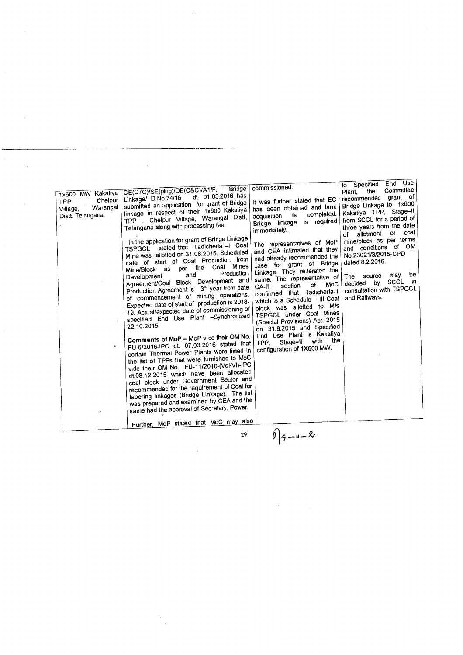| 1x600 MW Kakatiya<br>$\mathfrak{C}$ helpur<br><b>TPP</b><br>Warangal<br>Village,<br>Distt, Telangana. | Bridge<br>CE(C7C)/SE(ping)/DE(C&C)/A1/F.<br>dt. 01.03.2016 has<br>Linkage/ D.No.74/16<br>submitted an application for grant of Bridge<br>linkage in respect of their 1x600 Kakatiya<br>TPP , Chelpur Village, Warangal Distt,<br>Telangana along with processing fee.<br>In the application for grant of Bridge Linkage<br>TSPGCL stated that Tadicherla -I Coal<br>Mine was allotted on 31.08.2015. Scheduled<br>date of start of Coal Production from<br>Mines<br>per the Coal<br>Mine/Block as<br>Production<br>and<br>Development<br>Agreement/Coal Block Development and<br>Production Agreement is 3rd year from date<br>of commencement of mining operations.<br>Expected date of start of production is 2018-<br>19. Actual/expected date of commissioning of<br>specified End Use Plant -Synchronized<br>22.10.2015<br>Comments of MoP - MoP vide their OM No.<br>FU-6/2016-IPC dt. 07.03.2016 stated that<br>certain Thermal Power Plants were listed in<br>the list of TPPs that were furnished to MoC<br>vide their OM No. FU-11/2010-(Vol-VI)-IPC<br>dt.08.12.2015 which have been allocated<br>coal block under Government Sector and<br>recommended for the requirement of Coal for<br>tapering linkages (Bridge Linkage). The list<br>was prepared and examined by CEA and the<br>same had the approval of Secretary, Power.<br>Further, MoP stated that MoC may also | commissioned.<br>It was further stated that EC<br>has been obtained and land<br>completed.<br>is<br>acquisition<br>Bridge linkage is required<br>immediately.<br>The representatives of MoP<br>and CEA intimated that they<br>had already recommended the<br>case for grant of Bridge<br>Linkage. They reiterated the<br>same. The representative of<br>MoC<br>of<br>section<br>CA-III<br>confirmed that Tadicherla-1<br>which is a Schedule - III Coal<br>block was allotted to M/s<br>TSPGCL under Coal Mines<br>(Special Provisions) Act, 2015<br>on 31.8.2015 and Specified<br>End Use Plant is Kakatiya<br>TPP, Stage-II with the<br>configuration of 1X600 MW. | to Specified End Use<br>Committee<br>the<br>Plant,<br>grant of<br>recommended<br>Bridge Linkage to 1x600<br>Kakatiya TPP, Stage-II<br>from SCCL for a period of<br>three years from the date<br>of coal<br>of allotment<br>mine/block as per terms<br>and conditions of OM<br>No.23021/3/2015-CPD<br>dated 8.2.2016.<br>be<br>may<br>source<br>The:<br>SCCL in<br>bv<br>decided<br>consultation with TSPGCL<br>and Railways. |
|-------------------------------------------------------------------------------------------------------|---------------------------------------------------------------------------------------------------------------------------------------------------------------------------------------------------------------------------------------------------------------------------------------------------------------------------------------------------------------------------------------------------------------------------------------------------------------------------------------------------------------------------------------------------------------------------------------------------------------------------------------------------------------------------------------------------------------------------------------------------------------------------------------------------------------------------------------------------------------------------------------------------------------------------------------------------------------------------------------------------------------------------------------------------------------------------------------------------------------------------------------------------------------------------------------------------------------------------------------------------------------------------------------------------------------------------------------------------------------------------------------|----------------------------------------------------------------------------------------------------------------------------------------------------------------------------------------------------------------------------------------------------------------------------------------------------------------------------------------------------------------------------------------------------------------------------------------------------------------------------------------------------------------------------------------------------------------------------------------------------------------------------------------------------------------------|------------------------------------------------------------------------------------------------------------------------------------------------------------------------------------------------------------------------------------------------------------------------------------------------------------------------------------------------------------------------------------------------------------------------------|
|                                                                                                       | 29                                                                                                                                                                                                                                                                                                                                                                                                                                                                                                                                                                                                                                                                                                                                                                                                                                                                                                                                                                                                                                                                                                                                                                                                                                                                                                                                                                                    | $0 q-n-1 $                                                                                                                                                                                                                                                                                                                                                                                                                                                                                                                                                                                                                                                           |                                                                                                                                                                                                                                                                                                                                                                                                                              |

 $\frac{1}{2}$ 

 $\frac{1}{2}$  ,  $\frac{1}{2}$ 

 $\mathcal{A}^{\mathcal{A}}$ 

 $\hat{\mathcal{A}}$ 

 $\hat{\boldsymbol{\beta}}$ 

 $\label{eq:2.1} \frac{1}{\sqrt{2\pi}}\int_{\mathbb{R}^3} \frac{d\mu}{\sqrt{2\pi}} \left( \frac{d\mu}{\mu} \right)^2 \frac{d\mu}{\mu} \frac{d\mu}{\mu} \frac{d\mu}{\mu} \frac{d\mu}{\mu} \frac{d\mu}{\mu} \frac{d\mu}{\mu} \frac{d\mu}{\mu} \frac{d\mu}{\mu} \frac{d\mu}{\mu} \frac{d\mu}{\mu} \frac{d\mu}{\mu} \frac{d\mu}{\mu} \frac{d\mu}{\mu} \frac{d\mu}{\mu} \frac{d\mu}{\mu} \frac{d\mu$ 

 $\mathcal{L}_{\mathcal{A}}$ 

 $\frac{1}{\sqrt{2}}$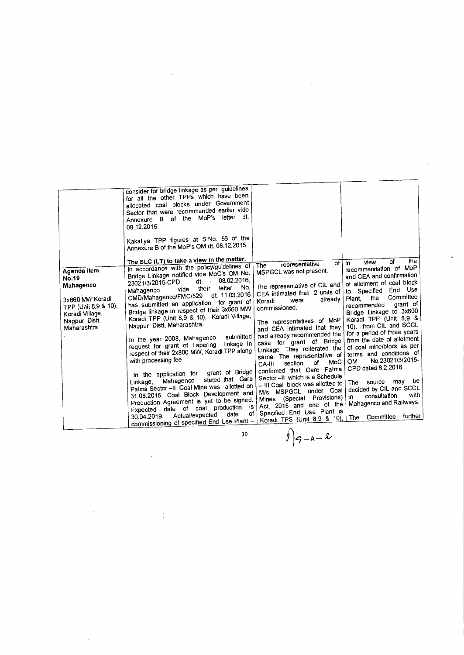| for all the other TPPs which have been<br>allocated coal blocks under Government<br>Sector that were recommended earlier vide<br>letter dt.<br>Annexure B of the MoP's<br>08.12.2015.<br>Kakatiya TPP figures at S.No. 56 of the<br>Annexure B of the MoP's OM dt. 08.12.2015.<br>The SLC (LT) to take a view in the matter.<br>In accordance with the policy/guidelines of<br>Agenda item<br>Bridge Linkage notified vide MoC's OM No.<br><b>No.19</b><br>dt. 08.02.2016,<br>23021/3/2015-CPD<br>Mahagenco<br>No.<br>letter<br>their<br>vide<br>Mahagenco<br>dt. 11.03.2016<br>CMD/Mahagenco/FMC/529<br>3x660 MW Koradi<br>has submitted an application for grant of<br>TPP (Unii 8,9 & 10).<br>Bridge linkage in respect of their 3x660 MW<br>Koradi Village,<br>Koradi TPP (Unit 8,9 & 10), Koradi Village,<br>Nagpur Distt,<br>Nagpur Distt, Maharashtra.<br>Maharashtra.<br>submitted<br>In the year 2008, Mahagenco<br>linkage in<br>request for grant of Tapering<br>respect of their 2x800 MW, Koradi TPP along<br>with processing fee<br>In the application for grant of Bridge<br>stated that Gare<br>Mahagenco<br>Linkage.<br>Palma Sector -- Il Coal Mine was allotted on<br>31.08.2015. Coal Block Development and<br>Production Agreement is yet to be signed.<br>date of coal production is<br>Expected<br>date<br>Actual/expected<br>30.04.2019.<br>commissioning of specified End Use Plant -<br>30 | the<br>of<br>view<br>of I<br>In.<br>representative<br>The<br>recommendation of MoP<br>MSPGCL was not present.<br>and CEA and confirmation<br>of allotment of coal block<br>The representative of CIL and<br>to Specified End Use<br>CEA intimated that 2 units of<br>Committee<br>the<br>Plant.<br>already<br>were<br>Koradi<br>grant of<br>recommended<br>commissioned.<br>Bridge Linkage to 3x600<br>Koradi TPP (Unit 8,9 &<br>The representatives of MoP<br>10), from CIL and SCCL<br>and CEA intimated that they<br>for a period of three years<br>had already recommended the<br>from the date of allotment<br>case for grant of Bridge<br>of coal mine/block as per<br>Linkage. They reiterated the<br>terms and conditions of<br>same. The representative of<br>No.23021/3/2015-<br>OM.<br>MoC<br>of<br>section<br>CA-III<br>CPD dated 8.2.2016.<br>confirmed that Gare Palma<br>Sector -- II which is a Schedule<br>be<br>source may<br>The<br>- III Coal block was allotted to<br>decided by CIL and SCCL<br>M/s MSPGCL under Coal<br>with<br>consultation<br>in.<br>Mines (Special Provisions)<br>Mahagenco and Railways.<br>Act, 2015 and one of the<br>Specified End Use Plant is<br>of I<br>further<br>The Committee<br>Koradi TPS (Unit 8,9 & 10), |
|----------------------------------------------------------------------------------------------------------------------------------------------------------------------------------------------------------------------------------------------------------------------------------------------------------------------------------------------------------------------------------------------------------------------------------------------------------------------------------------------------------------------------------------------------------------------------------------------------------------------------------------------------------------------------------------------------------------------------------------------------------------------------------------------------------------------------------------------------------------------------------------------------------------------------------------------------------------------------------------------------------------------------------------------------------------------------------------------------------------------------------------------------------------------------------------------------------------------------------------------------------------------------------------------------------------------------------------------------------------------------------------------------------------------|------------------------------------------------------------------------------------------------------------------------------------------------------------------------------------------------------------------------------------------------------------------------------------------------------------------------------------------------------------------------------------------------------------------------------------------------------------------------------------------------------------------------------------------------------------------------------------------------------------------------------------------------------------------------------------------------------------------------------------------------------------------------------------------------------------------------------------------------------------------------------------------------------------------------------------------------------------------------------------------------------------------------------------------------------------------------------------------------------------------------------------------------------------------------------------------------------------------------------------------------------------------|
|----------------------------------------------------------------------------------------------------------------------------------------------------------------------------------------------------------------------------------------------------------------------------------------------------------------------------------------------------------------------------------------------------------------------------------------------------------------------------------------------------------------------------------------------------------------------------------------------------------------------------------------------------------------------------------------------------------------------------------------------------------------------------------------------------------------------------------------------------------------------------------------------------------------------------------------------------------------------------------------------------------------------------------------------------------------------------------------------------------------------------------------------------------------------------------------------------------------------------------------------------------------------------------------------------------------------------------------------------------------------------------------------------------------------|------------------------------------------------------------------------------------------------------------------------------------------------------------------------------------------------------------------------------------------------------------------------------------------------------------------------------------------------------------------------------------------------------------------------------------------------------------------------------------------------------------------------------------------------------------------------------------------------------------------------------------------------------------------------------------------------------------------------------------------------------------------------------------------------------------------------------------------------------------------------------------------------------------------------------------------------------------------------------------------------------------------------------------------------------------------------------------------------------------------------------------------------------------------------------------------------------------------------------------------------------------------|

 $\hat{\mathcal{A}}$ 

 $\label{eq:2.1} \frac{1}{2} \left( \frac{1}{2} \right) \left( \frac{1}{2} \right) \left( \frac{1}{2} \right) \left( \frac{1}{2} \right) \left( \frac{1}{2} \right) \left( \frac{1}{2} \right) \left( \frac{1}{2} \right) \left( \frac{1}{2} \right) \left( \frac{1}{2} \right) \left( \frac{1}{2} \right) \left( \frac{1}{2} \right) \left( \frac{1}{2} \right) \left( \frac{1}{2} \right) \left( \frac{1}{2} \right) \left( \frac{1}{2} \right) \left( \frac{1}{2$ 

 $\frac{1}{2\pi} \frac{1}{2} \frac{1}{2} \frac{1}{2}$ 

 $\iint_{\mathcal{G}-\mu-\kappa}$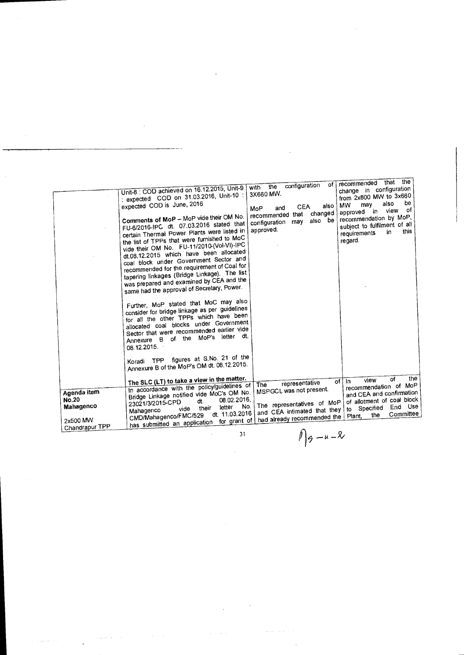|                                                      | Unit-8 : COD achieved on 16.12.2015, Unit-9<br>: expected COD on 31.03.2016, Unit-10 :<br>expected COD is June, 2016<br>Comments of MoP - MoP vide their OM No.<br>FU-6/2016-IPC dt. 07.03.2016 stated that<br>certain Thermal Power Plants were listed in<br>the list of TPPs that were furnished to MoC<br>vide their OM No. FU-11/2010-(Vol-VI)-IPC<br>dt.08.12.2015 which have been allocated<br>coal block under Government Sector and<br>recommended for the requirement of Coal for<br>tapering linkages (Bridge Linkage). The list<br>was prepared and examined by CEA and the<br>same had the approval of Secretary, Power.<br>Further, MoP stated that MoC may also<br>consider for bridge linkage as per guidelines<br>for all the other TPPs which have been<br>allocated coal blocks under Government<br>Sector that were recommended earlier vide<br>Annexure B of the MoP's letter dt.<br>08.12.2015.<br>Koradi TPP figures at S.No. 21 of the<br>Annexure B of the MoP's OM dt. 08.12.2015. | $\alpha$ f<br>configuration<br>the<br>with<br>3X660 MW.<br>also<br><b>CEA</b><br>and<br>MoP<br>changed<br>recommended that<br>also be<br>configuration may<br>approved. | the<br>that<br>recommended<br>change in configuration<br>from 2x800 MW to 3x660<br>be<br>also<br>may<br><b>MW</b><br>0f<br>view<br>in.<br>approved<br>recommendation by MoP,<br>subject to fulfilment of all<br>this<br>in<br>requirements<br>regard. |
|------------------------------------------------------|-------------------------------------------------------------------------------------------------------------------------------------------------------------------------------------------------------------------------------------------------------------------------------------------------------------------------------------------------------------------------------------------------------------------------------------------------------------------------------------------------------------------------------------------------------------------------------------------------------------------------------------------------------------------------------------------------------------------------------------------------------------------------------------------------------------------------------------------------------------------------------------------------------------------------------------------------------------------------------------------------------------|-------------------------------------------------------------------------------------------------------------------------------------------------------------------------|-------------------------------------------------------------------------------------------------------------------------------------------------------------------------------------------------------------------------------------------------------|
| Agenda item<br><b>No.20</b><br>Mahagenco<br>2x500 MW | The SLC (LT) to take a view in the matter.<br>In accordance with the policy/guidelines of<br>Bridge Linkage notified vide MoC's OM No.<br>08.02.2016,<br>dt.<br>23021/3/2015-CPD<br>No.<br>letter<br>their<br>vide<br>Mahagenco<br>dt. 11.03.2016<br>CMD/Mahagenco/FMC/529<br>has submitted an application for grant of                                                                                                                                                                                                                                                                                                                                                                                                                                                                                                                                                                                                                                                                                     | representative<br><b>The</b><br>MSPGCL was not present.<br>The representatives of MoP<br>and CEA intimated that they<br>had already recommended the                     | the<br>of<br>view<br>∣ In<br>of<br>recommendation of MoP<br>and CEA and confirmation<br>of allotment of coal block<br>Specified End Use<br>to<br>Committee<br>the<br>Plant.                                                                           |
| Chandrapur TPP                                       | 31                                                                                                                                                                                                                                                                                                                                                                                                                                                                                                                                                                                                                                                                                                                                                                                                                                                                                                                                                                                                          | $l_{\alpha - \mu - \nu}$                                                                                                                                                |                                                                                                                                                                                                                                                       |

 $\hat{\mathcal{A}}$ 

 $\hat{\mathcal{A}}$ 

 $\ddot{\phantom{0}}$ 

 $\sim$ 

 $\hat{\mathcal{A}}$ 

 $\iint_{\mathcal{P}} -u - x$ 

 $\sim$   $\sim$ 

 $\sim 10^{11}$  m  $^{-1}$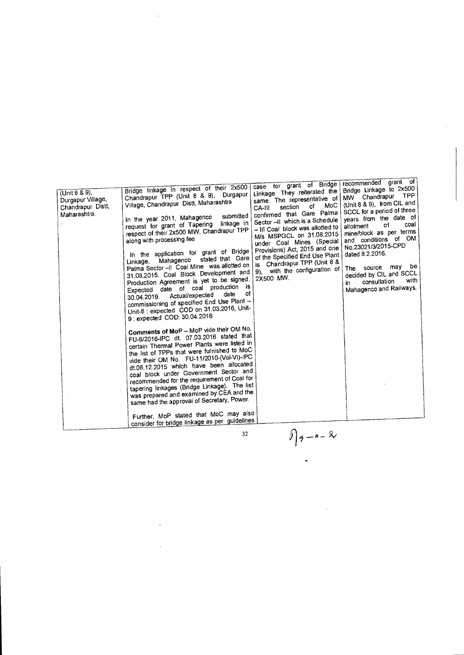| (Unit 8 & 9),<br>Durgapur Village,<br>Chandrapur Distt,<br>Maharashtra. | Bridge linkage in respect of their 2x500<br>Chandrapur TPP (Unit 8 & 9), Durgapur<br>Village, Chandrapur Distt, Maharashtra<br>submitted<br>In the year 2011, Mahagenco<br>linkage in<br>request for grant of Tapering<br>respect of their 2x500 MW, Chandrapur TPP<br>along with processing fee<br>In the application for grant of Bridge<br>stated that Gare<br>Mahagenco<br>Linkage,<br>Palma Sector -- II Coal Mine was allotted on  <br>31.08.2015. Coal Block Development and<br>Production Agreement is yet to be signed.<br>Expected date of coal production is<br>of<br>date<br>Actual/expected<br>30.04.2019.<br>commissioning of specified End Use Plant -<br>Unit-8 : expected COD on 31.03.2016, Unit-<br>9 : expected COD: 30.04.2016<br>Comments of MoP - MoP vide their OM No.<br>FU-6/2016-IPC dt. 07.03.2016 stated that<br>certain Thermal Power Plants were listed in<br>the list of TPPs that were furnished to MoC<br>vide their OM No. FU-11/2010-(Vol-VI)-IPC<br>dt.08.12.2015 which have been allocated<br>coal block under Government Sector and<br>recommended for the requirement of Coal for<br>tapering linkages (Bridge Linkage). The list<br>was prepared and examined by CEA and the<br>same had the approval of Secretary, Power.<br>Further, MoP stated that MoC may also<br>consider for bridge linkage as per guidelines | case for grant of Bridge<br>Linkage. They reiterated the<br>same. The representative of<br>$M_0C$<br>of<br>section<br>CA-III<br>confirmed that Gare Palma<br>Sector -- II which is a Schedule<br>- III Coal block was allotted to<br>M/s MSPGCL on 31.08.2015<br>under Coal Mines (Special<br>Provisions) Act, 2015 and one<br>of the Specified End Use Plant<br>is Chandrapur TPP (Unit 8 &<br>9), with the configuration of<br>2X500 MW. | recommended grant of<br>Bridge Linkage to 2x500<br><b>TPP</b><br>MW Chandrapur<br>(Unit 8 & 9), from CIL and<br>SCCL for a period of three<br>years from the date of<br>coal<br>of<br>allotment<br>mine/block as per terms<br>and conditions of OM<br>No.23021/3/2015-CPD<br>dated 8.2.2016.<br>The source may be<br>decided by CIL and SCCL<br>with<br>consultation<br>m<br>Mahagenco and Railways. |
|-------------------------------------------------------------------------|---------------------------------------------------------------------------------------------------------------------------------------------------------------------------------------------------------------------------------------------------------------------------------------------------------------------------------------------------------------------------------------------------------------------------------------------------------------------------------------------------------------------------------------------------------------------------------------------------------------------------------------------------------------------------------------------------------------------------------------------------------------------------------------------------------------------------------------------------------------------------------------------------------------------------------------------------------------------------------------------------------------------------------------------------------------------------------------------------------------------------------------------------------------------------------------------------------------------------------------------------------------------------------------------------------------------------------------------------------------|--------------------------------------------------------------------------------------------------------------------------------------------------------------------------------------------------------------------------------------------------------------------------------------------------------------------------------------------------------------------------------------------------------------------------------------------|------------------------------------------------------------------------------------------------------------------------------------------------------------------------------------------------------------------------------------------------------------------------------------------------------------------------------------------------------------------------------------------------------|
|                                                                         | 32                                                                                                                                                                                                                                                                                                                                                                                                                                                                                                                                                                                                                                                                                                                                                                                                                                                                                                                                                                                                                                                                                                                                                                                                                                                                                                                                                            | $\int_{\mathfrak{H}} -n - \mathfrak{L}$                                                                                                                                                                                                                                                                                                                                                                                                    |                                                                                                                                                                                                                                                                                                                                                                                                      |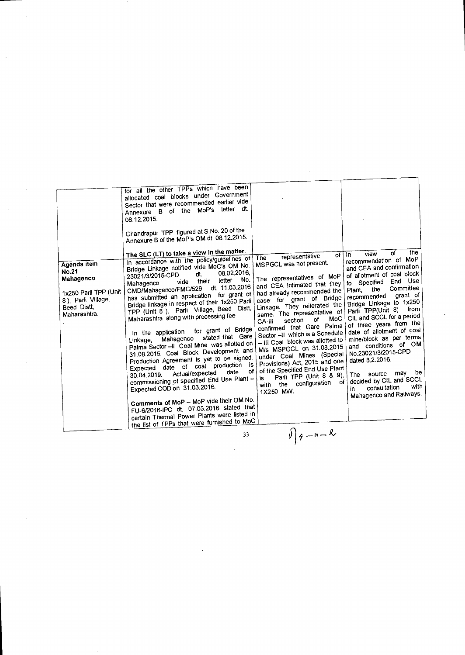33

 $09 - n - 8$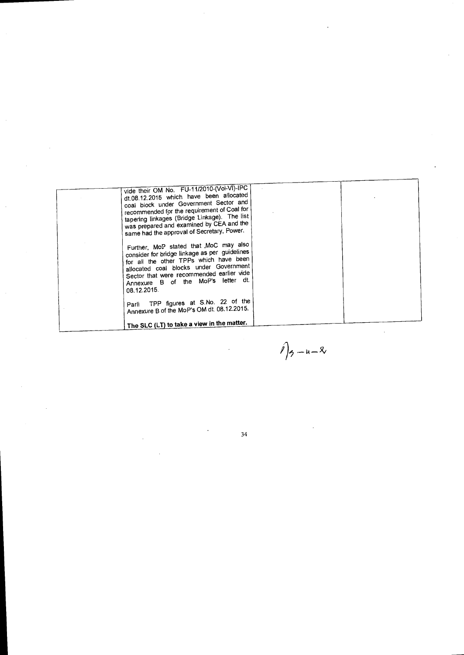| vide their OM No. FU-11/2010-(Vol-VI)-IPC<br>dt.08.12.2015 which have been allocated<br>coal block under Government Sector and<br>recommended for the requirement of Coal for<br>tapering linkages (Bridge Linkage). The list<br>was prepared and examined by CEA and the<br>same had the approval of Secretary, Power. |
|-------------------------------------------------------------------------------------------------------------------------------------------------------------------------------------------------------------------------------------------------------------------------------------------------------------------------|
| Further, MoP stated that MoC may also<br>consider for bridge linkage as per guidelines<br>for all the other TPPs which have been<br>allocated coal blocks under Government<br>Sector that were recommended earlier vide<br>Annexure B of the MoP's letter dt.<br>08.12.2015.                                            |
| Parli TPP figures at S.No. 22 of the<br>Annexure B of the MoP's OM dt. 08.12.2015.                                                                                                                                                                                                                                      |
| The SLC (LT) to take a view in the matter.                                                                                                                                                                                                                                                                              |

 $\sim 10^{-1}$ 

 $\Big)$ <sub>2</sub> - u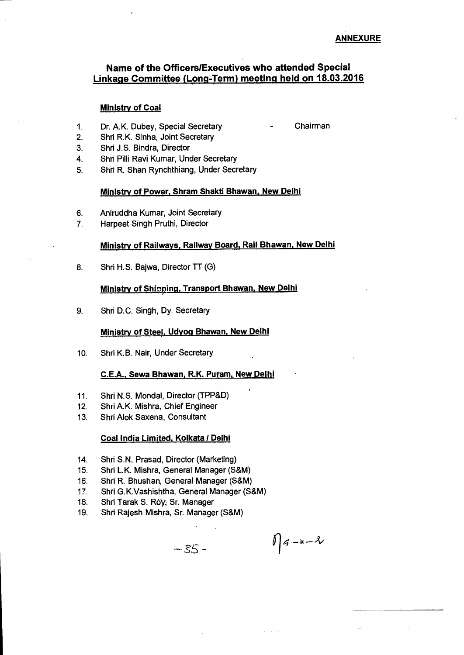# **Name of the Officers/Executives who attended Special Linkage Committee (Long-Term) meeting held on 18.03.2016**

## **Ministry of Coal**

- 1. Dr. A.K. Dubey, Special Secretary
- Chairman

- 2. Shri R.K. Sinha, Joint Secretary
- 3. Shri J.S. Bindra, Director
- 4. Shri Pilli Ravi Kumar, Under Secretary
- 5. Shri R. Shan Rynchthiang, Under Secretary

## **Ministry of Power, Shram Shakti Bhawan, New Delhi**

- 6. Aniruddha Kumar, Joint Secretary
- 7. Harpeet Singh Pruthi, Director

## **Ministry of Railways, Railway Board, Rail Bhawan, New Delhi**

8. Shri H.S. Bajwa, Director TT (G)

## **Ministry of Shipping, Transport Bhawan, New Delhi**

9. Shri D.C. Singh, Dy. Secretary

#### **Ministry of Steel, Udyoq Bhawan, New Delhi**

10. Shri K.B. Nair, Under Secretary

## **C.E.A., Sawa Bhawan, R.K. Puram, New Delhi**

- 11. Shri N.S. Mondal, Director (TPP&D)
- 12. Shri A.K. Mishra, Chief Engineer
- 13. Shri Alok Saxena, Consultant

#### **Coal India Limited, Koikata / Delhi**

- 14. Shri S.N. Prasad, Director (Marketing)
- 15. Shri **L.K.** Mishra, General Manager (S&M)
- 16. Shri R. Bhushan, General Manager (S&M)
- 17. Shri G.K.Vashishtha, General Manager (S&M)
- 18. Shri Tarak S. Roy, Sr. Manager
- 19. Shri Rajesh Mishra, Sr. Manager (S&M)

 $-35-$ 

 $\iint_{a}^{a}$  -u- $\iota$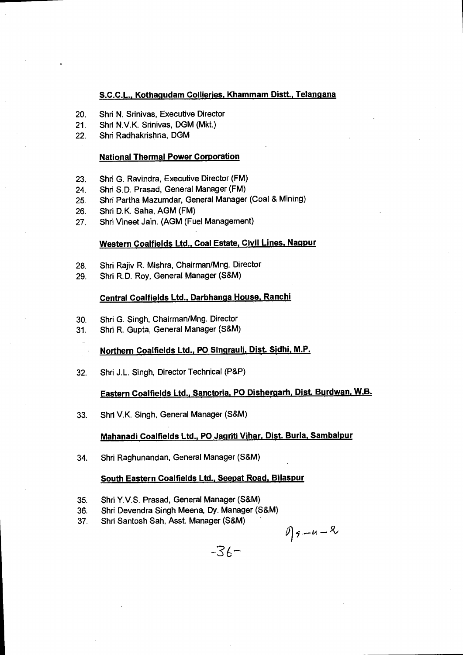## **S.C.C.L., Kothagudam Collieries, Khammam Distt., Telangana**

- 20. Shri N. Srinivas, Executive Director
- 21. Shri N.V.K. Srinivas, DGM (Mkt.)
- 22. Shri Radhakrishna, DGM

## **National Thermal Power Corporation**

- 23. Shri G. Ravindra, Executive Director (FM)
- 24. Shri S.D. Prasad, General Manager (FM)
- 25. Shri Partha Mazumdar, General Manager (Coal & Mining)
- 26. Shri D.K. Saha, AGM (FM)
- 27. Shri Vineet Jain. (AGM (Fuel Management)

## **Western Coalfields Ltd., Coal Estate, Civil Lines, Nagpur**

- 28. Shri Rajiv R. Mishra, Chairman/Mng. Director
- 29. Shri R.D. Roy, General Manager (S&M)

#### **Central Coalfields Ltd., Darbhanqa House, Ranchi**

- 30. Shri G. Singh, Chairman/Mng. Director
- 31. Shri R. Gupta, General Manager (S&M)
	- Northern Coalfields Ltd., PO Singrauli, Dist. Sidhi, M.P.
- 32. Shri J.L. Singh, Director Technical (P&P)

# **Eastern Coalfields Ltd., Sanctoria, PO Dishergarh, Dist. Burdwan, W,B.**

33. Shri V.K. Singh, General Manager (S&M)

## **Mahanadi Coalfields Ltd., PO Jagriti Vihar, Dist. Burla, Sambalpur**

34. Shri Raghunandan, General Manager (S&M)

#### **South Eastern Coalfields Ltd., Seepat Road, Bilaspur**

- 35. Shri Y.V.S. Prasad, General Manager (S&M)
- 36. Shri Devendra Singh Meena, Dy. Manager (S&M)
- 37. Shri Santosh Sah, Asst. Manager (S&M)

$$
\mathcal{D}_{3}-u-2
$$

 $-36 -$